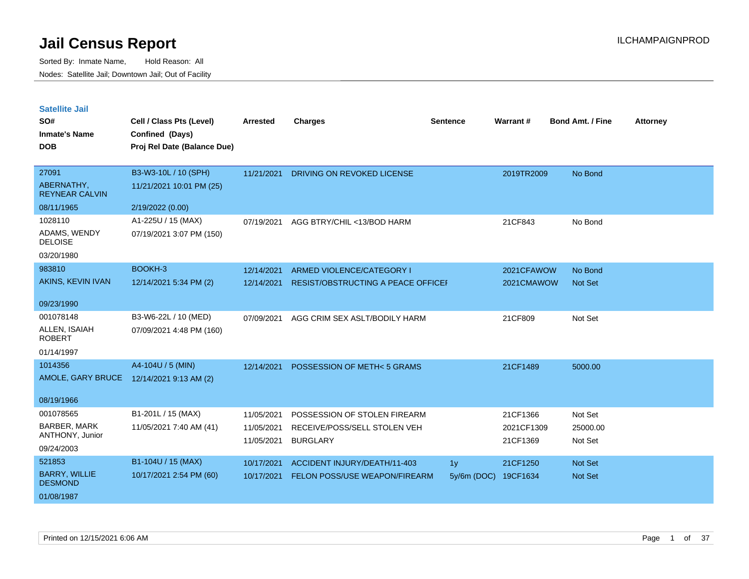| <b>Satellite Jail</b> |  |
|-----------------------|--|
|                       |  |

| SO#                                    | Cell / Class Pts (Level)                       | Arrested   | <b>Charges</b>                       | <b>Sentence</b>                 | Warrant#   | <b>Bond Amt. / Fine</b> | <b>Attorney</b> |
|----------------------------------------|------------------------------------------------|------------|--------------------------------------|---------------------------------|------------|-------------------------|-----------------|
| <b>Inmate's Name</b><br><b>DOB</b>     | Confined (Days)<br>Proj Rel Date (Balance Due) |            |                                      |                                 |            |                         |                 |
| 27091                                  | B3-W3-10L / 10 (SPH)                           | 11/21/2021 | DRIVING ON REVOKED LICENSE           |                                 | 2019TR2009 | No Bond                 |                 |
| ABERNATHY,<br><b>REYNEAR CALVIN</b>    | 11/21/2021 10:01 PM (25)                       |            |                                      |                                 |            |                         |                 |
| 08/11/1965                             | 2/19/2022 (0.00)                               |            |                                      |                                 |            |                         |                 |
| 1028110                                | A1-225U / 15 (MAX)                             | 07/19/2021 | AGG BTRY/CHIL <13/BOD HARM           |                                 | 21CF843    | No Bond                 |                 |
| ADAMS, WENDY<br><b>DELOISE</b>         | 07/19/2021 3:07 PM (150)                       |            |                                      |                                 |            |                         |                 |
| 03/20/1980                             |                                                |            |                                      |                                 |            |                         |                 |
| 983810                                 | BOOKH-3                                        | 12/14/2021 | ARMED VIOLENCE/CATEGORY I            |                                 | 2021CFAWOW | No Bond                 |                 |
| AKINS, KEVIN IVAN                      | 12/14/2021 5:34 PM (2)                         | 12/14/2021 | RESIST/OBSTRUCTING A PEACE OFFICEI   |                                 | 2021CMAWOW | <b>Not Set</b>          |                 |
| 09/23/1990                             |                                                |            |                                      |                                 |            |                         |                 |
| 001078148                              | B3-W6-22L / 10 (MED)                           | 07/09/2021 | AGG CRIM SEX ASLT/BODILY HARM        |                                 | 21CF809    | Not Set                 |                 |
| ALLEN, ISAIAH<br><b>ROBERT</b>         | 07/09/2021 4:48 PM (160)                       |            |                                      |                                 |            |                         |                 |
| 01/14/1997                             |                                                |            |                                      |                                 |            |                         |                 |
| 1014356                                | A4-104U / 5 (MIN)                              | 12/14/2021 | POSSESSION OF METH<5 GRAMS           |                                 | 21CF1489   | 5000.00                 |                 |
| AMOLE, GARY BRUCE                      | 12/14/2021 9:13 AM (2)                         |            |                                      |                                 |            |                         |                 |
| 08/19/1966                             |                                                |            |                                      |                                 |            |                         |                 |
| 001078565                              | B1-201L / 15 (MAX)                             | 11/05/2021 | POSSESSION OF STOLEN FIREARM         |                                 | 21CF1366   | Not Set                 |                 |
| <b>BARBER, MARK</b><br>ANTHONY, Junior | 11/05/2021 7:40 AM (41)                        | 11/05/2021 | RECEIVE/POSS/SELL STOLEN VEH         |                                 | 2021CF1309 | 25000.00                |                 |
| 09/24/2003                             |                                                | 11/05/2021 | <b>BURGLARY</b>                      |                                 | 21CF1369   | Not Set                 |                 |
| 521853                                 | B1-104U / 15 (MAX)                             | 10/17/2021 | ACCIDENT INJURY/DEATH/11-403         |                                 | 21CF1250   | <b>Not Set</b>          |                 |
| <b>BARRY, WILLIE</b>                   | 10/17/2021 2:54 PM (60)                        | 10/17/2021 | <b>FELON POSS/USE WEAPON/FIREARM</b> | 1 <sub>y</sub><br>$5y/6m$ (DOC) | 19CF1634   | Not Set                 |                 |
| <b>DESMOND</b>                         |                                                |            |                                      |                                 |            |                         |                 |
| 01/08/1987                             |                                                |            |                                      |                                 |            |                         |                 |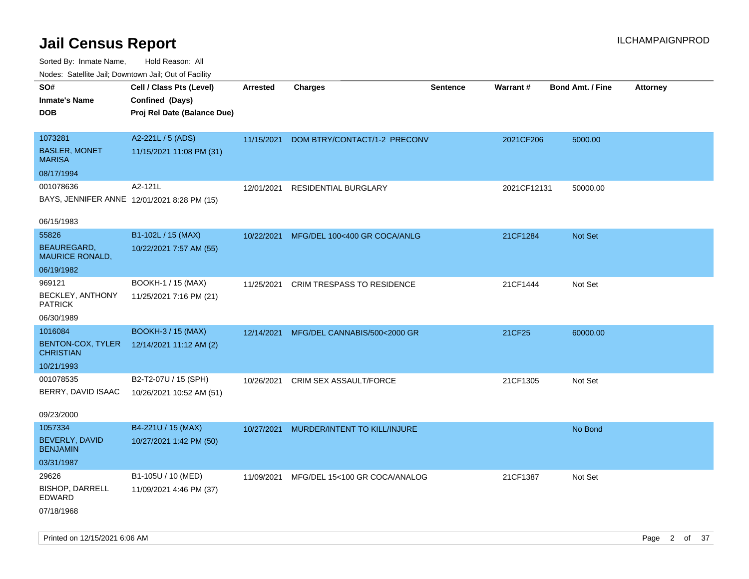| SO#                                          | Cell / Class Pts (Level)    | Arrested   | <b>Charges</b>                | <b>Sentence</b> | Warrant#    | <b>Bond Amt. / Fine</b> | <b>Attorney</b> |
|----------------------------------------------|-----------------------------|------------|-------------------------------|-----------------|-------------|-------------------------|-----------------|
| <b>Inmate's Name</b>                         | Confined (Days)             |            |                               |                 |             |                         |                 |
| <b>DOB</b>                                   | Proj Rel Date (Balance Due) |            |                               |                 |             |                         |                 |
|                                              |                             |            |                               |                 |             |                         |                 |
| 1073281                                      | A2-221L / 5 (ADS)           | 11/15/2021 | DOM BTRY/CONTACT/1-2 PRECONV  |                 | 2021CF206   | 5000.00                 |                 |
| <b>BASLER, MONET</b><br>MARISA               | 11/15/2021 11:08 PM (31)    |            |                               |                 |             |                         |                 |
| 08/17/1994                                   |                             |            |                               |                 |             |                         |                 |
| 001078636                                    | A2-121L                     | 12/01/2021 | RESIDENTIAL BURGLARY          |                 | 2021CF12131 | 50000.00                |                 |
| BAYS, JENNIFER ANNE 12/01/2021 8:28 PM (15)  |                             |            |                               |                 |             |                         |                 |
| 06/15/1983                                   |                             |            |                               |                 |             |                         |                 |
| 55826                                        | B1-102L / 15 (MAX)          | 10/22/2021 | MFG/DEL 100<400 GR COCA/ANLG  |                 | 21CF1284    | Not Set                 |                 |
| <b>BEAUREGARD,</b><br><b>MAURICE RONALD,</b> | 10/22/2021 7:57 AM (55)     |            |                               |                 |             |                         |                 |
| 06/19/1982                                   |                             |            |                               |                 |             |                         |                 |
| 969121                                       | BOOKH-1 / 15 (MAX)          | 11/25/2021 | CRIM TRESPASS TO RESIDENCE    |                 | 21CF1444    | Not Set                 |                 |
| <b>BECKLEY, ANTHONY</b><br><b>PATRICK</b>    | 11/25/2021 7:16 PM (21)     |            |                               |                 |             |                         |                 |
| 06/30/1989                                   |                             |            |                               |                 |             |                         |                 |
| 1016084                                      | <b>BOOKH-3 / 15 (MAX)</b>   | 12/14/2021 | MFG/DEL CANNABIS/500<2000 GR  |                 | 21CF25      | 60000.00                |                 |
| <b>BENTON-COX, TYLER</b><br><b>CHRISTIAN</b> | 12/14/2021 11:12 AM (2)     |            |                               |                 |             |                         |                 |
| 10/21/1993                                   |                             |            |                               |                 |             |                         |                 |
| 001078535                                    | B2-T2-07U / 15 (SPH)        | 10/26/2021 | CRIM SEX ASSAULT/FORCE        |                 | 21CF1305    | Not Set                 |                 |
| BERRY, DAVID ISAAC                           | 10/26/2021 10:52 AM (51)    |            |                               |                 |             |                         |                 |
| 09/23/2000                                   |                             |            |                               |                 |             |                         |                 |
| 1057334                                      | B4-221U / 15 (MAX)          | 10/27/2021 | MURDER/INTENT TO KILL/INJURE  |                 |             | No Bond                 |                 |
| BEVERLY, DAVID<br><b>BENJAMIN</b>            | 10/27/2021 1:42 PM (50)     |            |                               |                 |             |                         |                 |
| 03/31/1987                                   |                             |            |                               |                 |             |                         |                 |
| 29626                                        | B1-105U / 10 (MED)          | 11/09/2021 | MFG/DEL 15<100 GR COCA/ANALOG |                 | 21CF1387    | Not Set                 |                 |
| <b>BISHOP, DARRELL</b><br>EDWARD             | 11/09/2021 4:46 PM (37)     |            |                               |                 |             |                         |                 |
| 07/18/1968                                   |                             |            |                               |                 |             |                         |                 |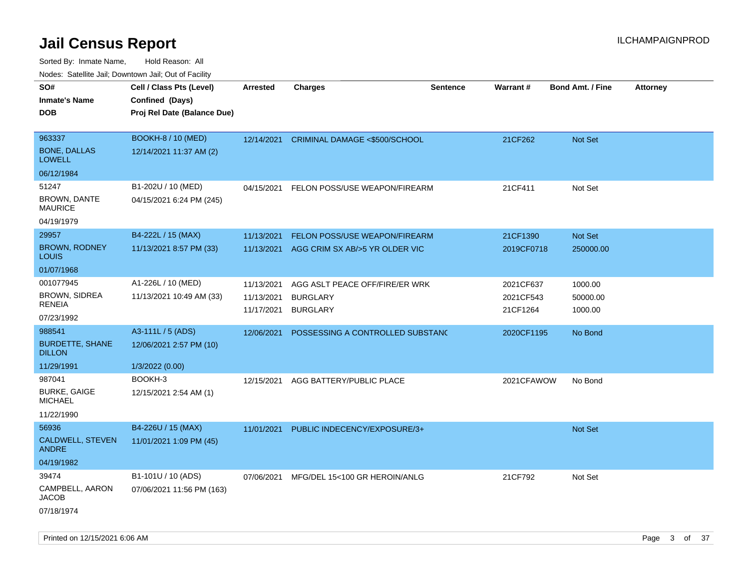Sorted By: Inmate Name, Hold Reason: All Nodes: Satellite Jail; Downtown Jail; Out of Facility

| SO#                                     | Cell / Class Pts (Level)    | <b>Arrested</b> | <b>Charges</b>                           | <b>Sentence</b> | <b>Warrant#</b> | <b>Bond Amt. / Fine</b> | <b>Attorney</b> |
|-----------------------------------------|-----------------------------|-----------------|------------------------------------------|-----------------|-----------------|-------------------------|-----------------|
| Inmate's Name                           | Confined (Days)             |                 |                                          |                 |                 |                         |                 |
| <b>DOB</b>                              | Proj Rel Date (Balance Due) |                 |                                          |                 |                 |                         |                 |
|                                         |                             |                 |                                          |                 |                 |                         |                 |
| 963337                                  | <b>BOOKH-8 / 10 (MED)</b>   |                 | 12/14/2021 CRIMINAL DAMAGE <\$500/SCHOOL |                 | 21CF262         | Not Set                 |                 |
| <b>BONE, DALLAS</b><br>LOWELL           | 12/14/2021 11:37 AM (2)     |                 |                                          |                 |                 |                         |                 |
| 06/12/1984                              |                             |                 |                                          |                 |                 |                         |                 |
| 51247                                   | B1-202U / 10 (MED)          | 04/15/2021      | FELON POSS/USE WEAPON/FIREARM            |                 | 21CF411         | Not Set                 |                 |
| <b>BROWN, DANTE</b><br>MAURICE          | 04/15/2021 6:24 PM (245)    |                 |                                          |                 |                 |                         |                 |
| 04/19/1979                              |                             |                 |                                          |                 |                 |                         |                 |
| 29957                                   | B4-222L / 15 (MAX)          | 11/13/2021      | FELON POSS/USE WEAPON/FIREARM            |                 | 21CF1390        | <b>Not Set</b>          |                 |
| <b>BROWN, RODNEY</b><br>Louis           | 11/13/2021 8:57 PM (33)     | 11/13/2021      | AGG CRIM SX AB/>5 YR OLDER VIC           |                 | 2019CF0718      | 250000.00               |                 |
| 01/07/1968                              |                             |                 |                                          |                 |                 |                         |                 |
| 001077945                               | A1-226L / 10 (MED)          | 11/13/2021      | AGG ASLT PEACE OFF/FIRE/ER WRK           |                 | 2021CF637       | 1000.00                 |                 |
| <b>BROWN, SIDREA</b><br>RENEIA          | 11/13/2021 10:49 AM (33)    | 11/13/2021      | <b>BURGLARY</b>                          |                 | 2021CF543       | 50000.00                |                 |
| 07/23/1992                              |                             | 11/17/2021      | <b>BURGLARY</b>                          |                 | 21CF1264        | 1000.00                 |                 |
| 988541                                  | A3-111L / 5 (ADS)           | 12/06/2021      | POSSESSING A CONTROLLED SUBSTAND         |                 | 2020CF1195      | No Bond                 |                 |
| <b>BURDETTE, SHANE</b><br><b>DILLON</b> | 12/06/2021 2:57 PM (10)     |                 |                                          |                 |                 |                         |                 |
| 11/29/1991                              | 1/3/2022 (0.00)             |                 |                                          |                 |                 |                         |                 |
| 987041                                  | BOOKH-3                     | 12/15/2021      | AGG BATTERY/PUBLIC PLACE                 |                 | 2021CFAWOW      | No Bond                 |                 |
| <b>BURKE, GAIGE</b><br>MICHAEL          | 12/15/2021 2:54 AM (1)      |                 |                                          |                 |                 |                         |                 |
| 11/22/1990                              |                             |                 |                                          |                 |                 |                         |                 |
| 56936                                   | B4-226U / 15 (MAX)          | 11/01/2021      | PUBLIC INDECENCY/EXPOSURE/3+             |                 |                 | Not Set                 |                 |
| CALDWELL, STEVEN<br>ANDRE               | 11/01/2021 1:09 PM (45)     |                 |                                          |                 |                 |                         |                 |
| 04/19/1982                              |                             |                 |                                          |                 |                 |                         |                 |
| 39474                                   | B1-101U / 10 (ADS)          | 07/06/2021      | MFG/DEL 15<100 GR HEROIN/ANLG            |                 | 21CF792         | Not Set                 |                 |
| CAMPBELL, AARON<br>JACOB                | 07/06/2021 11:56 PM (163)   |                 |                                          |                 |                 |                         |                 |
| 07/18/1974                              |                             |                 |                                          |                 |                 |                         |                 |

Printed on 12/15/2021 6:06 AM **Page 3 of 37**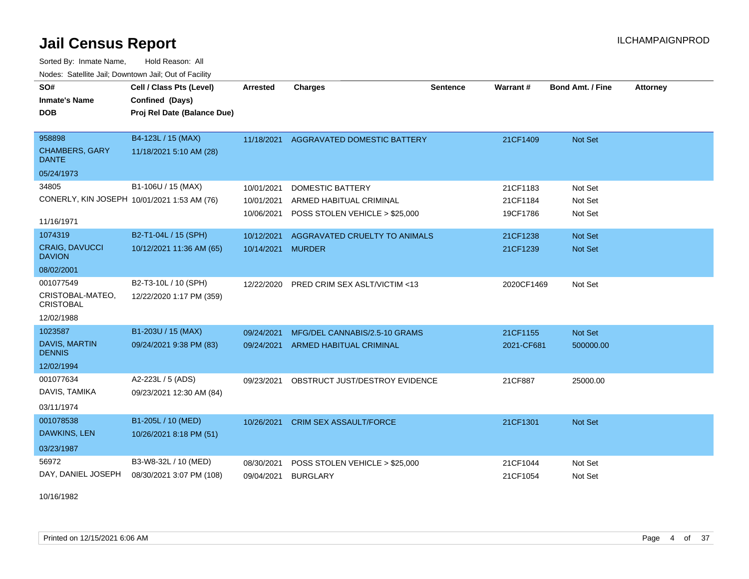Sorted By: Inmate Name, Hold Reason: All Nodes: Satellite Jail; Downtown Jail; Out of Facility

| SO#                                         | Cell / Class Pts (Level)    | <b>Arrested</b>   | <b>Charges</b>                         | <b>Sentence</b> | <b>Warrant#</b> | <b>Bond Amt. / Fine</b> | <b>Attorney</b> |
|---------------------------------------------|-----------------------------|-------------------|----------------------------------------|-----------------|-----------------|-------------------------|-----------------|
| <b>Inmate's Name</b>                        | Confined (Days)             |                   |                                        |                 |                 |                         |                 |
| <b>DOB</b>                                  | Proj Rel Date (Balance Due) |                   |                                        |                 |                 |                         |                 |
|                                             |                             |                   |                                        |                 |                 |                         |                 |
| 958898                                      | B4-123L / 15 (MAX)          |                   | 11/18/2021 AGGRAVATED DOMESTIC BATTERY |                 | 21CF1409        | Not Set                 |                 |
| <b>CHAMBERS, GARY</b><br><b>DANTE</b>       | 11/18/2021 5:10 AM (28)     |                   |                                        |                 |                 |                         |                 |
| 05/24/1973                                  |                             |                   |                                        |                 |                 |                         |                 |
| 34805                                       | B1-106U / 15 (MAX)          | 10/01/2021        | <b>DOMESTIC BATTERY</b>                |                 | 21CF1183        | Not Set                 |                 |
| CONERLY, KIN JOSEPH 10/01/2021 1:53 AM (76) |                             | 10/01/2021        | ARMED HABITUAL CRIMINAL                |                 | 21CF1184        | Not Set                 |                 |
| 11/16/1971                                  |                             | 10/06/2021        | POSS STOLEN VEHICLE > \$25,000         |                 | 19CF1786        | Not Set                 |                 |
| 1074319                                     | B2-T1-04L / 15 (SPH)        | 10/12/2021        | AGGRAVATED CRUELTY TO ANIMALS          |                 | 21CF1238        | Not Set                 |                 |
| <b>CRAIG, DAVUCCI</b><br><b>DAVION</b>      | 10/12/2021 11:36 AM (65)    | 10/14/2021 MURDER |                                        |                 | 21CF1239        | Not Set                 |                 |
| 08/02/2001                                  |                             |                   |                                        |                 |                 |                         |                 |
| 001077549                                   | B2-T3-10L / 10 (SPH)        | 12/22/2020        | PRED CRIM SEX ASLT/VICTIM <13          |                 | 2020CF1469      | Not Set                 |                 |
| CRISTOBAL-MATEO,<br><b>CRISTOBAL</b>        | 12/22/2020 1:17 PM (359)    |                   |                                        |                 |                 |                         |                 |
| 12/02/1988                                  |                             |                   |                                        |                 |                 |                         |                 |
| 1023587                                     | B1-203U / 15 (MAX)          | 09/24/2021        | MFG/DEL CANNABIS/2.5-10 GRAMS          |                 | 21CF1155        | Not Set                 |                 |
| <b>DAVIS, MARTIN</b><br><b>DENNIS</b>       | 09/24/2021 9:38 PM (83)     | 09/24/2021        | ARMED HABITUAL CRIMINAL                |                 | 2021-CF681      | 500000.00               |                 |
| 12/02/1994                                  |                             |                   |                                        |                 |                 |                         |                 |
| 001077634                                   | A2-223L / 5 (ADS)           | 09/23/2021        | OBSTRUCT JUST/DESTROY EVIDENCE         |                 | 21CF887         | 25000.00                |                 |
| DAVIS, TAMIKA                               | 09/23/2021 12:30 AM (84)    |                   |                                        |                 |                 |                         |                 |
| 03/11/1974                                  |                             |                   |                                        |                 |                 |                         |                 |
| 001078538                                   | B1-205L / 10 (MED)          | 10/26/2021        | <b>CRIM SEX ASSAULT/FORCE</b>          |                 | 21CF1301        | Not Set                 |                 |
| DAWKINS, LEN                                | 10/26/2021 8:18 PM (51)     |                   |                                        |                 |                 |                         |                 |
| 03/23/1987                                  |                             |                   |                                        |                 |                 |                         |                 |
| 56972                                       | B3-W8-32L / 10 (MED)        | 08/30/2021        | POSS STOLEN VEHICLE > \$25,000         |                 | 21CF1044        | Not Set                 |                 |
| DAY, DANIEL JOSEPH                          | 08/30/2021 3:07 PM (108)    | 09/04/2021        | <b>BURGLARY</b>                        |                 | 21CF1054        | Not Set                 |                 |

10/16/1982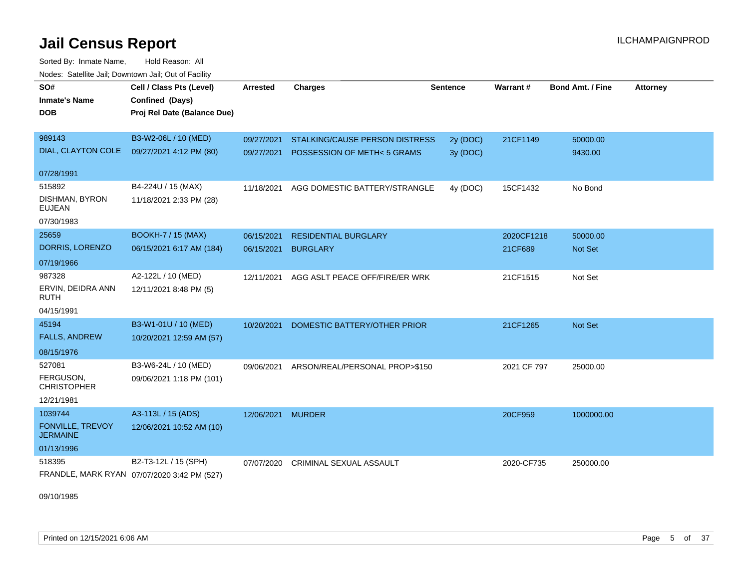Sorted By: Inmate Name, Hold Reason: All Nodes: Satellite Jail; Downtown Jail; Out of Facility

| SO#<br><b>Inmate's Name</b><br><b>DOB</b> | Cell / Class Pts (Level)<br>Confined (Days)<br>Proj Rel Date (Balance Due) | <b>Arrested</b>   | <b>Charges</b>                 | <b>Sentence</b> | Warrant#    | <b>Bond Amt. / Fine</b> | <b>Attorney</b> |
|-------------------------------------------|----------------------------------------------------------------------------|-------------------|--------------------------------|-----------------|-------------|-------------------------|-----------------|
|                                           |                                                                            |                   |                                |                 |             |                         |                 |
| 989143                                    | B3-W2-06L / 10 (MED)                                                       | 09/27/2021        | STALKING/CAUSE PERSON DISTRESS | 2y (DOC)        | 21CF1149    | 50000.00                |                 |
| DIAL, CLAYTON COLE                        | 09/27/2021 4:12 PM (80)                                                    | 09/27/2021        | POSSESSION OF METH<5 GRAMS     | 3y (DOC)        |             | 9430.00                 |                 |
| 07/28/1991                                |                                                                            |                   |                                |                 |             |                         |                 |
| 515892                                    | B4-224U / 15 (MAX)                                                         | 11/18/2021        | AGG DOMESTIC BATTERY/STRANGLE  | 4y (DOC)        | 15CF1432    | No Bond                 |                 |
| DISHMAN, BYRON<br><b>EUJEAN</b>           | 11/18/2021 2:33 PM (28)                                                    |                   |                                |                 |             |                         |                 |
| 07/30/1983                                |                                                                            |                   |                                |                 |             |                         |                 |
| 25659                                     | <b>BOOKH-7 / 15 (MAX)</b>                                                  | 06/15/2021        | <b>RESIDENTIAL BURGLARY</b>    |                 | 2020CF1218  | 50000.00                |                 |
| DORRIS, LORENZO                           | 06/15/2021 6:17 AM (184)                                                   | 06/15/2021        | <b>BURGLARY</b>                |                 | 21CF689     | Not Set                 |                 |
| 07/19/1966                                |                                                                            |                   |                                |                 |             |                         |                 |
| 987328                                    | A2-122L / 10 (MED)                                                         | 12/11/2021        | AGG ASLT PEACE OFF/FIRE/ER WRK |                 | 21CF1515    | Not Set                 |                 |
| ERVIN, DEIDRA ANN<br><b>RUTH</b>          | 12/11/2021 8:48 PM (5)                                                     |                   |                                |                 |             |                         |                 |
| 04/15/1991                                |                                                                            |                   |                                |                 |             |                         |                 |
| 45194                                     | B3-W1-01U / 10 (MED)                                                       | 10/20/2021        | DOMESTIC BATTERY/OTHER PRIOR   |                 | 21CF1265    | Not Set                 |                 |
| <b>FALLS, ANDREW</b>                      | 10/20/2021 12:59 AM (57)                                                   |                   |                                |                 |             |                         |                 |
| 08/15/1976                                |                                                                            |                   |                                |                 |             |                         |                 |
| 527081                                    | B3-W6-24L / 10 (MED)                                                       | 09/06/2021        | ARSON/REAL/PERSONAL PROP>\$150 |                 | 2021 CF 797 | 25000.00                |                 |
| FERGUSON,<br><b>CHRISTOPHER</b>           | 09/06/2021 1:18 PM (101)                                                   |                   |                                |                 |             |                         |                 |
| 12/21/1981                                |                                                                            |                   |                                |                 |             |                         |                 |
| 1039744                                   | A3-113L / 15 (ADS)                                                         | 12/06/2021 MURDER |                                |                 | 20CF959     | 1000000.00              |                 |
| FONVILLE, TREVOY<br><b>JERMAINE</b>       | 12/06/2021 10:52 AM (10)                                                   |                   |                                |                 |             |                         |                 |
| 01/13/1996                                |                                                                            |                   |                                |                 |             |                         |                 |
| 518395                                    | B2-T3-12L / 15 (SPH)                                                       | 07/07/2020        | <b>CRIMINAL SEXUAL ASSAULT</b> |                 | 2020-CF735  | 250000.00               |                 |
|                                           | FRANDLE, MARK RYAN 07/07/2020 3:42 PM (527)                                |                   |                                |                 |             |                         |                 |

09/10/1985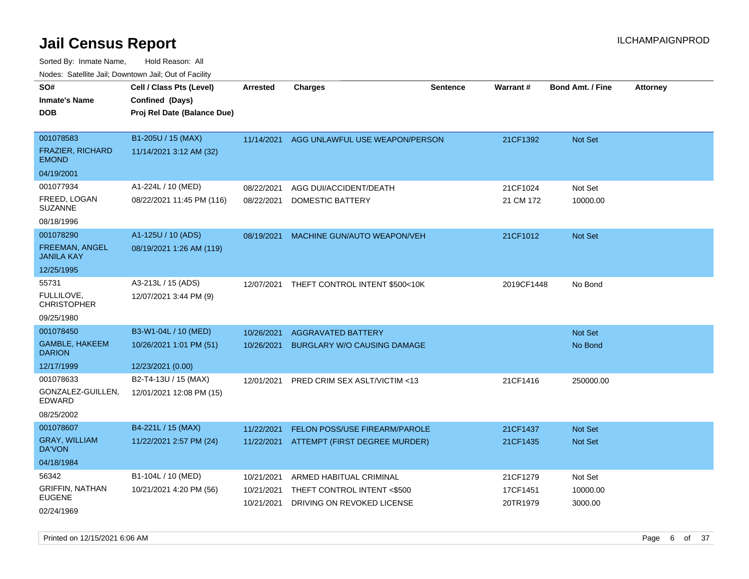| soupois catomic can, Dominomii can, Cat or I domt |                                                                            |                 |                                |                 |            |                         |                 |
|---------------------------------------------------|----------------------------------------------------------------------------|-----------------|--------------------------------|-----------------|------------|-------------------------|-----------------|
| SO#<br>Inmate's Name<br>DOB                       | Cell / Class Pts (Level)<br>Confined (Days)<br>Proj Rel Date (Balance Due) | <b>Arrested</b> | <b>Charges</b>                 | <b>Sentence</b> | Warrant#   | <b>Bond Amt. / Fine</b> | <b>Attorney</b> |
|                                                   |                                                                            |                 |                                |                 |            |                         |                 |
| 001078583                                         | B1-205U / 15 (MAX)                                                         | 11/14/2021      | AGG UNLAWFUL USE WEAPON/PERSON |                 | 21CF1392   | <b>Not Set</b>          |                 |
| FRAZIER, RICHARD<br><b>EMOND</b>                  | 11/14/2021 3:12 AM (32)                                                    |                 |                                |                 |            |                         |                 |
| 04/19/2001                                        |                                                                            |                 |                                |                 |            |                         |                 |
| 001077934                                         | A1-224L / 10 (MED)                                                         | 08/22/2021      | AGG DUI/ACCIDENT/DEATH         |                 | 21CF1024   | Not Set                 |                 |
| FREED, LOGAN<br>SUZANNE                           | 08/22/2021 11:45 PM (116)                                                  | 08/22/2021      | DOMESTIC BATTERY               |                 | 21 CM 172  | 10000.00                |                 |
| 08/18/1996                                        |                                                                            |                 |                                |                 |            |                         |                 |
| 001078290                                         | A1-125U / 10 (ADS)                                                         | 08/19/2021      | MACHINE GUN/AUTO WEAPON/VEH    |                 | 21CF1012   | Not Set                 |                 |
| FREEMAN, ANGEL<br><b>JANILA KAY</b>               | 08/19/2021 1:26 AM (119)                                                   |                 |                                |                 |            |                         |                 |
| 12/25/1995                                        |                                                                            |                 |                                |                 |            |                         |                 |
| 55731                                             | A3-213L / 15 (ADS)                                                         | 12/07/2021      | THEFT CONTROL INTENT \$500<10K |                 | 2019CF1448 | No Bond                 |                 |
| FULLILOVE,<br>CHRISTOPHER                         | 12/07/2021 3:44 PM (9)                                                     |                 |                                |                 |            |                         |                 |
| 09/25/1980                                        |                                                                            |                 |                                |                 |            |                         |                 |
| 001078450                                         | B3-W1-04L / 10 (MED)                                                       | 10/26/2021      | <b>AGGRAVATED BATTERY</b>      |                 |            | <b>Not Set</b>          |                 |
| <b>GAMBLE, HAKEEM</b><br><b>DARION</b>            | 10/26/2021 1:01 PM (51)                                                    | 10/26/2021      | BURGLARY W/O CAUSING DAMAGE    |                 |            | No Bond                 |                 |
| 12/17/1999                                        | 12/23/2021 (0.00)                                                          |                 |                                |                 |            |                         |                 |
| 001078633                                         | B2-T4-13U / 15 (MAX)                                                       | 12/01/2021      | PRED CRIM SEX ASLT/VICTIM <13  |                 | 21CF1416   | 250000.00               |                 |
| GONZALEZ-GUILLEN,<br>EDWARD                       | 12/01/2021 12:08 PM (15)                                                   |                 |                                |                 |            |                         |                 |
| 08/25/2002                                        |                                                                            |                 |                                |                 |            |                         |                 |
| 001078607                                         | B4-221L / 15 (MAX)                                                         | 11/22/2021      | FELON POSS/USE FIREARM/PAROLE  |                 | 21CF1437   | <b>Not Set</b>          |                 |
| <b>GRAY, WILLIAM</b><br>DA'VON                    | 11/22/2021 2:57 PM (24)                                                    | 11/22/2021      | ATTEMPT (FIRST DEGREE MURDER)  |                 | 21CF1435   | <b>Not Set</b>          |                 |
| 04/18/1984                                        |                                                                            |                 |                                |                 |            |                         |                 |
| 56342                                             | B1-104L / 10 (MED)                                                         | 10/21/2021      | ARMED HABITUAL CRIMINAL        |                 | 21CF1279   | Not Set                 |                 |
| GRIFFIN, NATHAN<br>EUGENE                         | 10/21/2021 4:20 PM (56)                                                    | 10/21/2021      | THEFT CONTROL INTENT <\$500    |                 | 17CF1451   | 10000.00                |                 |
| 02/24/1969                                        |                                                                            | 10/21/2021      | DRIVING ON REVOKED LICENSE     |                 | 20TR1979   | 3000.00                 |                 |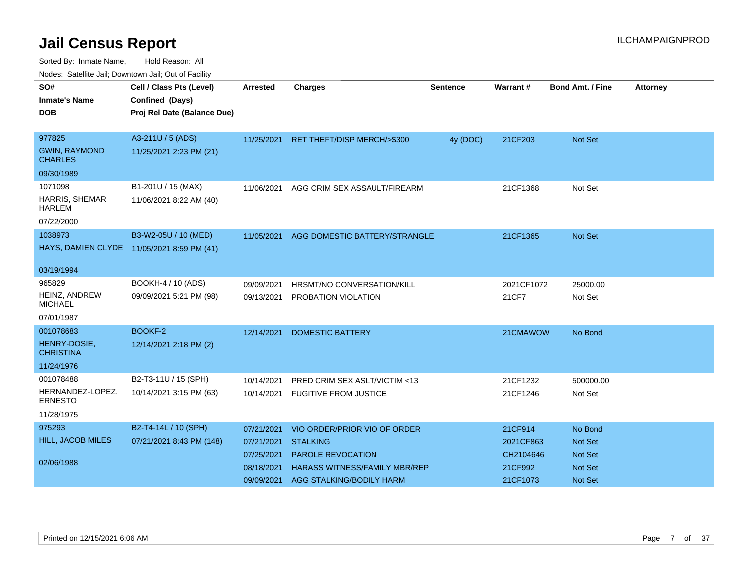| <u>Houco. Catolino dall, Downtown dall, Out of Fuolint</u> |                                            |                 |                                  |                 |            |                         |                 |
|------------------------------------------------------------|--------------------------------------------|-----------------|----------------------------------|-----------------|------------|-------------------------|-----------------|
| SO#                                                        | Cell / Class Pts (Level)                   | <b>Arrested</b> | <b>Charges</b>                   | <b>Sentence</b> | Warrant#   | <b>Bond Amt. / Fine</b> | <b>Attorney</b> |
| <b>Inmate's Name</b>                                       | Confined (Days)                            |                 |                                  |                 |            |                         |                 |
| DOB.                                                       | Proj Rel Date (Balance Due)                |                 |                                  |                 |            |                         |                 |
|                                                            |                                            |                 |                                  |                 |            |                         |                 |
| 977825                                                     | A3-211U / 5 (ADS)                          | 11/25/2021      | RET THEFT/DISP MERCH/>\$300      | 4y (DOC)        | 21CF203    | Not Set                 |                 |
| <b>GWIN, RAYMOND</b><br><b>CHARLES</b>                     | 11/25/2021 2:23 PM (21)                    |                 |                                  |                 |            |                         |                 |
| 09/30/1989                                                 |                                            |                 |                                  |                 |            |                         |                 |
| 1071098                                                    | B1-201U / 15 (MAX)                         | 11/06/2021      | AGG CRIM SEX ASSAULT/FIREARM     |                 | 21CF1368   | Not Set                 |                 |
| <b>HARRIS, SHEMAR</b><br><b>HARLEM</b>                     | 11/06/2021 8:22 AM (40)                    |                 |                                  |                 |            |                         |                 |
| 07/22/2000                                                 |                                            |                 |                                  |                 |            |                         |                 |
| 1038973                                                    | B3-W2-05U / 10 (MED)                       | 11/05/2021      | AGG DOMESTIC BATTERY/STRANGLE    |                 | 21CF1365   | Not Set                 |                 |
|                                                            | HAYS, DAMIEN CLYDE 11/05/2021 8:59 PM (41) |                 |                                  |                 |            |                         |                 |
|                                                            |                                            |                 |                                  |                 |            |                         |                 |
| 03/19/1994                                                 |                                            |                 |                                  |                 |            |                         |                 |
| 965829                                                     | BOOKH-4 / 10 (ADS)                         | 09/09/2021      | HRSMT/NO CONVERSATION/KILL       |                 | 2021CF1072 | 25000.00                |                 |
| HEINZ, ANDREW<br><b>MICHAEL</b>                            | 09/09/2021 5:21 PM (98)                    | 09/13/2021      | PROBATION VIOLATION              |                 | 21CF7      | Not Set                 |                 |
| 07/01/1987                                                 |                                            |                 |                                  |                 |            |                         |                 |
| 001078683                                                  | BOOKF-2                                    | 12/14/2021      | <b>DOMESTIC BATTERY</b>          |                 | 21CMAWOW   | No Bond                 |                 |
| HENRY-DOSIE,<br><b>CHRISTINA</b>                           | 12/14/2021 2:18 PM (2)                     |                 |                                  |                 |            |                         |                 |
| 11/24/1976                                                 |                                            |                 |                                  |                 |            |                         |                 |
| 001078488                                                  | B2-T3-11U / 15 (SPH)                       | 10/14/2021      | PRED CRIM SEX ASLT/VICTIM <13    |                 | 21CF1232   | 500000.00               |                 |
| HERNANDEZ-LOPEZ,<br><b>ERNESTO</b>                         | 10/14/2021 3:15 PM (63)                    |                 | 10/14/2021 FUGITIVE FROM JUSTICE |                 | 21CF1246   | Not Set                 |                 |
| 11/28/1975                                                 |                                            |                 |                                  |                 |            |                         |                 |
| 975293                                                     | B2-T4-14L / 10 (SPH)                       | 07/21/2021      | VIO ORDER/PRIOR VIO OF ORDER     |                 | 21CF914    | No Bond                 |                 |
| <b>HILL, JACOB MILES</b>                                   | 07/21/2021 8:43 PM (148)                   | 07/21/2021      | <b>STALKING</b>                  |                 | 2021CF863  | <b>Not Set</b>          |                 |
|                                                            |                                            | 07/25/2021      | <b>PAROLE REVOCATION</b>         |                 | CH2104646  | <b>Not Set</b>          |                 |
| 02/06/1988                                                 |                                            | 08/18/2021      | HARASS WITNESS/FAMILY MBR/REP    |                 | 21CF992    | Not Set                 |                 |
|                                                            |                                            | 09/09/2021      | AGG STALKING/BODILY HARM         |                 | 21CF1073   | Not Set                 |                 |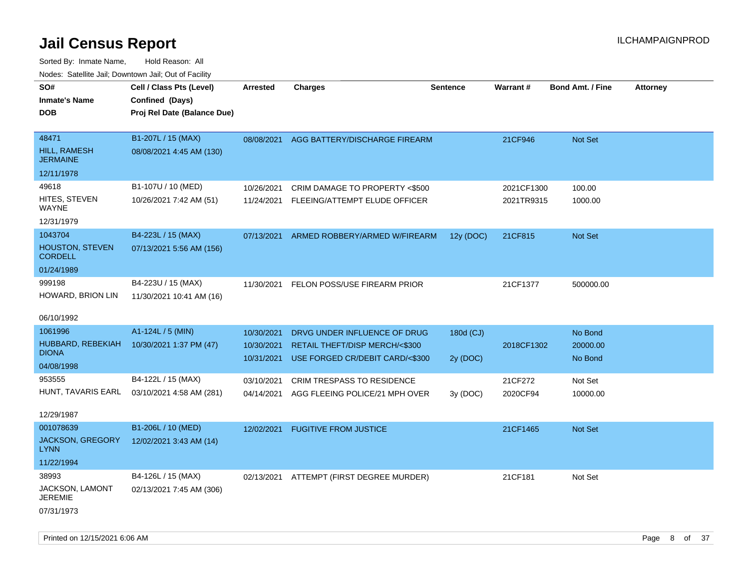| SO#<br><b>Inmate's Name</b><br><b>DOB</b>                | Cell / Class Pts (Level)<br>Confined (Days)<br>Proj Rel Date (Balance Due) | Arrested                 | <b>Charges</b>                                                             | <b>Sentence</b> | Warrant #                | <b>Bond Amt. / Fine</b> | <b>Attorney</b> |
|----------------------------------------------------------|----------------------------------------------------------------------------|--------------------------|----------------------------------------------------------------------------|-----------------|--------------------------|-------------------------|-----------------|
| 48471<br><b>HILL, RAMESH</b><br><b>JERMAINE</b>          | B1-207L / 15 (MAX)<br>08/08/2021 4:45 AM (130)                             | 08/08/2021               | AGG BATTERY/DISCHARGE FIREARM                                              |                 | 21CF946                  | Not Set                 |                 |
| 12/11/1978                                               |                                                                            |                          |                                                                            |                 |                          |                         |                 |
| 49618<br>HITES, STEVEN<br>WAYNE                          | B1-107U / 10 (MED)<br>10/26/2021 7:42 AM (51)                              | 10/26/2021               | CRIM DAMAGE TO PROPERTY <\$500<br>11/24/2021 FLEEING/ATTEMPT ELUDE OFFICER |                 | 2021CF1300<br>2021TR9315 | 100.00<br>1000.00       |                 |
| 12/31/1979                                               |                                                                            |                          |                                                                            |                 |                          |                         |                 |
| 1043704<br><b>HOUSTON, STEVEN</b><br><b>CORDELL</b>      | B4-223L / 15 (MAX)<br>07/13/2021 5:56 AM (156)                             | 07/13/2021               | ARMED ROBBERY/ARMED W/FIREARM                                              | 12y (DOC)       | 21CF815                  | Not Set                 |                 |
| 01/24/1989                                               |                                                                            |                          |                                                                            |                 |                          |                         |                 |
| 999198<br>HOWARD, BRION LIN                              | B4-223U / 15 (MAX)<br>11/30/2021 10:41 AM (16)                             | 11/30/2021               | FELON POSS/USE FIREARM PRIOR                                               |                 | 21CF1377                 | 500000.00               |                 |
| 06/10/1992                                               |                                                                            |                          |                                                                            |                 |                          |                         |                 |
| 1061996                                                  | A1-124L / 5 (MIN)                                                          | 10/30/2021               | DRVG UNDER INFLUENCE OF DRUG                                               | 180d (CJ)       |                          | No Bond                 |                 |
| HUBBARD, REBEKIAH<br><b>DIONA</b>                        | 10/30/2021 1:37 PM (47)                                                    | 10/30/2021<br>10/31/2021 | RETAIL THEFT/DISP MERCH/<\$300<br>USE FORGED CR/DEBIT CARD/<\$300          | 2y (DOC)        | 2018CF1302               | 20000.00<br>No Bond     |                 |
| 04/08/1998                                               |                                                                            |                          |                                                                            |                 |                          |                         |                 |
| 953555                                                   | B4-122L / 15 (MAX)                                                         | 03/10/2021               | CRIM TRESPASS TO RESIDENCE                                                 |                 | 21CF272                  | Not Set                 |                 |
| HUNT, TAVARIS EARL<br>12/29/1987                         | 03/10/2021 4:58 AM (281)                                                   | 04/14/2021               | AGG FLEEING POLICE/21 MPH OVER                                             | 3y (DOC)        | 2020CF94                 | 10000.00                |                 |
| 001078639                                                | B1-206L / 10 (MED)                                                         | 12/02/2021               | <b>FUGITIVE FROM JUSTICE</b>                                               |                 | 21CF1465                 | <b>Not Set</b>          |                 |
| <b>JACKSON, GREGORY</b><br><b>LYNN</b>                   | 12/02/2021 3:43 AM (14)                                                    |                          |                                                                            |                 |                          |                         |                 |
| 11/22/1994                                               |                                                                            |                          |                                                                            |                 |                          |                         |                 |
| 38993<br>JACKSON, LAMONT<br><b>JEREMIE</b><br>07/31/1973 | B4-126L / 15 (MAX)<br>02/13/2021 7:45 AM (306)                             |                          | 02/13/2021 ATTEMPT (FIRST DEGREE MURDER)                                   |                 | 21CF181                  | Not Set                 |                 |
|                                                          |                                                                            |                          |                                                                            |                 |                          |                         |                 |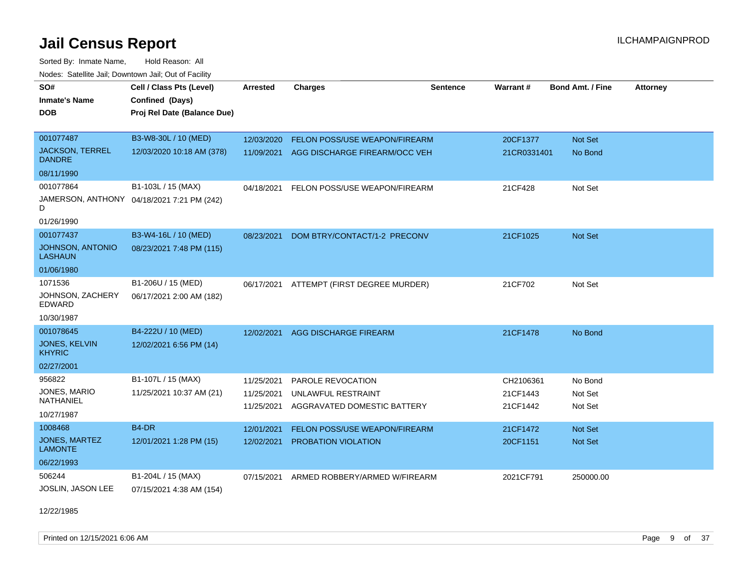Sorted By: Inmate Name, Hold Reason: All Nodes: Satellite Jail; Downtown Jail; Out of Facility

| SO#                                       | Cell / Class Pts (Level)                   | Arrested                 | <b>Charges</b>                                    | <b>Sentence</b> | <b>Warrant#</b>      | <b>Bond Amt. / Fine</b> | <b>Attorney</b> |
|-------------------------------------------|--------------------------------------------|--------------------------|---------------------------------------------------|-----------------|----------------------|-------------------------|-----------------|
| <b>Inmate's Name</b>                      | Confined (Days)                            |                          |                                                   |                 |                      |                         |                 |
| <b>DOB</b>                                | Proj Rel Date (Balance Due)                |                          |                                                   |                 |                      |                         |                 |
|                                           |                                            |                          |                                                   |                 |                      |                         |                 |
| 001077487                                 | B3-W8-30L / 10 (MED)                       | 12/03/2020               | FELON POSS/USE WEAPON/FIREARM                     |                 | 20CF1377             | Not Set                 |                 |
| <b>JACKSON, TERREL</b><br><b>DANDRE</b>   | 12/03/2020 10:18 AM (378)                  | 11/09/2021               | AGG DISCHARGE FIREARM/OCC VEH                     |                 | 21CR0331401          | No Bond                 |                 |
| 08/11/1990                                |                                            |                          |                                                   |                 |                      |                         |                 |
| 001077864                                 | B1-103L / 15 (MAX)                         | 04/18/2021               | FELON POSS/USE WEAPON/FIREARM                     |                 | 21CF428              | Not Set                 |                 |
| D                                         | JAMERSON, ANTHONY 04/18/2021 7:21 PM (242) |                          |                                                   |                 |                      |                         |                 |
| 01/26/1990                                |                                            |                          |                                                   |                 |                      |                         |                 |
| 001077437                                 | B3-W4-16L / 10 (MED)                       | 08/23/2021               | DOM BTRY/CONTACT/1-2 PRECONV                      |                 | 21CF1025             | <b>Not Set</b>          |                 |
| <b>JOHNSON, ANTONIO</b><br><b>LASHAUN</b> | 08/23/2021 7:48 PM (115)                   |                          |                                                   |                 |                      |                         |                 |
| 01/06/1980                                |                                            |                          |                                                   |                 |                      |                         |                 |
| 1071536                                   | B1-206U / 15 (MED)                         | 06/17/2021               | ATTEMPT (FIRST DEGREE MURDER)                     |                 | 21CF702              | Not Set                 |                 |
| JOHNSON, ZACHERY<br><b>EDWARD</b>         | 06/17/2021 2:00 AM (182)                   |                          |                                                   |                 |                      |                         |                 |
| 10/30/1987                                |                                            |                          |                                                   |                 |                      |                         |                 |
| 001078645                                 | B4-222U / 10 (MED)                         | 12/02/2021               | AGG DISCHARGE FIREARM                             |                 | 21CF1478             | No Bond                 |                 |
| <b>JONES, KELVIN</b><br><b>KHYRIC</b>     | 12/02/2021 6:56 PM (14)                    |                          |                                                   |                 |                      |                         |                 |
| 02/27/2001                                |                                            |                          |                                                   |                 |                      |                         |                 |
| 956822                                    | B1-107L / 15 (MAX)                         | 11/25/2021               | PAROLE REVOCATION                                 |                 | CH2106361            | No Bond                 |                 |
| JONES, MARIO<br>NATHANIEL                 | 11/25/2021 10:37 AM (21)                   | 11/25/2021<br>11/25/2021 | UNLAWFUL RESTRAINT<br>AGGRAVATED DOMESTIC BATTERY |                 | 21CF1443<br>21CF1442 | Not Set<br>Not Set      |                 |
| 10/27/1987                                |                                            |                          |                                                   |                 |                      |                         |                 |
| 1008468                                   | B <sub>4</sub> -DR                         | 12/01/2021               | FELON POSS/USE WEAPON/FIREARM                     |                 | 21CF1472             | <b>Not Set</b>          |                 |
| <b>JONES, MARTEZ</b><br><b>LAMONTE</b>    | 12/01/2021 1:28 PM (15)                    | 12/02/2021               | PROBATION VIOLATION                               |                 | 20CF1151             | <b>Not Set</b>          |                 |
| 06/22/1993                                |                                            |                          |                                                   |                 |                      |                         |                 |
| 506244                                    | B1-204L / 15 (MAX)                         | 07/15/2021               | ARMED ROBBERY/ARMED W/FIREARM                     |                 | 2021CF791            | 250000.00               |                 |
| JOSLIN, JASON LEE                         | 07/15/2021 4:38 AM (154)                   |                          |                                                   |                 |                      |                         |                 |

12/22/1985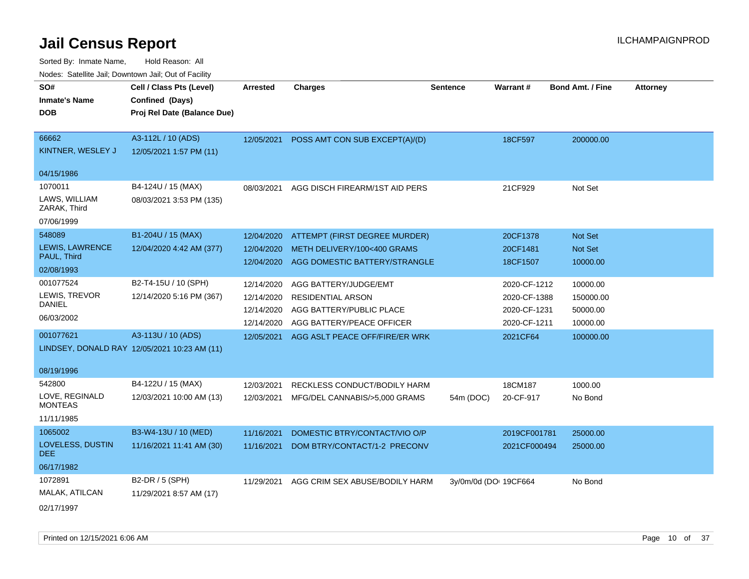| rougs. Calcing Jan, Downtown Jan, Out of Facility |                                              |                 |                                |                       |                 |                         |                 |
|---------------------------------------------------|----------------------------------------------|-----------------|--------------------------------|-----------------------|-----------------|-------------------------|-----------------|
| SO#<br><b>Inmate's Name</b>                       | Cell / Class Pts (Level)<br>Confined (Days)  | <b>Arrested</b> | <b>Charges</b>                 | <b>Sentence</b>       | <b>Warrant#</b> | <b>Bond Amt. / Fine</b> | <b>Attorney</b> |
| <b>DOB</b>                                        | Proj Rel Date (Balance Due)                  |                 |                                |                       |                 |                         |                 |
| 66662                                             | A3-112L / 10 (ADS)                           | 12/05/2021      | POSS AMT CON SUB EXCEPT(A)/(D) |                       | 18CF597         | 200000.00               |                 |
| KINTNER, WESLEY J                                 | 12/05/2021 1:57 PM (11)                      |                 |                                |                       |                 |                         |                 |
| 04/15/1986                                        |                                              |                 |                                |                       |                 |                         |                 |
| 1070011                                           | B4-124U / 15 (MAX)                           | 08/03/2021      | AGG DISCH FIREARM/1ST AID PERS |                       | 21CF929         | Not Set                 |                 |
| LAWS, WILLIAM<br>ZARAK, Third                     | 08/03/2021 3:53 PM (135)                     |                 |                                |                       |                 |                         |                 |
| 07/06/1999                                        |                                              |                 |                                |                       |                 |                         |                 |
| 548089                                            | B1-204U / 15 (MAX)                           | 12/04/2020      | ATTEMPT (FIRST DEGREE MURDER)  |                       | 20CF1378        | Not Set                 |                 |
| LEWIS, LAWRENCE<br>PAUL, Third                    | 12/04/2020 4:42 AM (377)                     | 12/04/2020      | METH DELIVERY/100<400 GRAMS    |                       | 20CF1481        | Not Set                 |                 |
| 02/08/1993                                        |                                              | 12/04/2020      | AGG DOMESTIC BATTERY/STRANGLE  |                       | 18CF1507        | 10000.00                |                 |
| 001077524                                         | B2-T4-15U / 10 (SPH)                         | 12/14/2020      | AGG BATTERY/JUDGE/EMT          |                       | 2020-CF-1212    | 10000.00                |                 |
| LEWIS, TREVOR                                     | 12/14/2020 5:16 PM (367)                     | 12/14/2020      | RESIDENTIAL ARSON              |                       | 2020-CF-1388    | 150000.00               |                 |
| DANIEL                                            |                                              | 12/14/2020      | AGG BATTERY/PUBLIC PLACE       |                       | 2020-CF-1231    | 50000.00                |                 |
| 06/03/2002                                        |                                              | 12/14/2020      | AGG BATTERY/PEACE OFFICER      |                       | 2020-CF-1211    | 10000.00                |                 |
| 001077621                                         | A3-113U / 10 (ADS)                           | 12/05/2021      | AGG ASLT PEACE OFF/FIRE/ER WRK |                       | 2021CF64        | 100000.00               |                 |
|                                                   | LINDSEY, DONALD RAY 12/05/2021 10:23 AM (11) |                 |                                |                       |                 |                         |                 |
| 08/19/1996                                        |                                              |                 |                                |                       |                 |                         |                 |
| 542800                                            | B4-122U / 15 (MAX)                           | 12/03/2021      | RECKLESS CONDUCT/BODILY HARM   |                       | 18CM187         | 1000.00                 |                 |
| LOVE, REGINALD<br><b>MONTEAS</b>                  | 12/03/2021 10:00 AM (13)                     | 12/03/2021      | MFG/DEL CANNABIS/>5,000 GRAMS  | 54m (DOC)             | 20-CF-917       | No Bond                 |                 |
| 11/11/1985                                        |                                              |                 |                                |                       |                 |                         |                 |
| 1065002                                           | B3-W4-13U / 10 (MED)                         | 11/16/2021      | DOMESTIC BTRY/CONTACT/VIO O/P  |                       | 2019CF001781    | 25000.00                |                 |
| LOVELESS, DUSTIN<br>DEE.                          | 11/16/2021 11:41 AM (30)                     | 11/16/2021      | DOM BTRY/CONTACT/1-2 PRECONV   |                       | 2021CF000494    | 25000.00                |                 |
| 06/17/1982                                        |                                              |                 |                                |                       |                 |                         |                 |
| 1072891                                           | B2-DR / 5 (SPH)                              | 11/29/2021      | AGG CRIM SEX ABUSE/BODILY HARM | 3y/0m/0d (DOI 19CF664 |                 | No Bond                 |                 |
| MALAK, ATILCAN                                    | 11/29/2021 8:57 AM (17)                      |                 |                                |                       |                 |                         |                 |
| 02/17/1997                                        |                                              |                 |                                |                       |                 |                         |                 |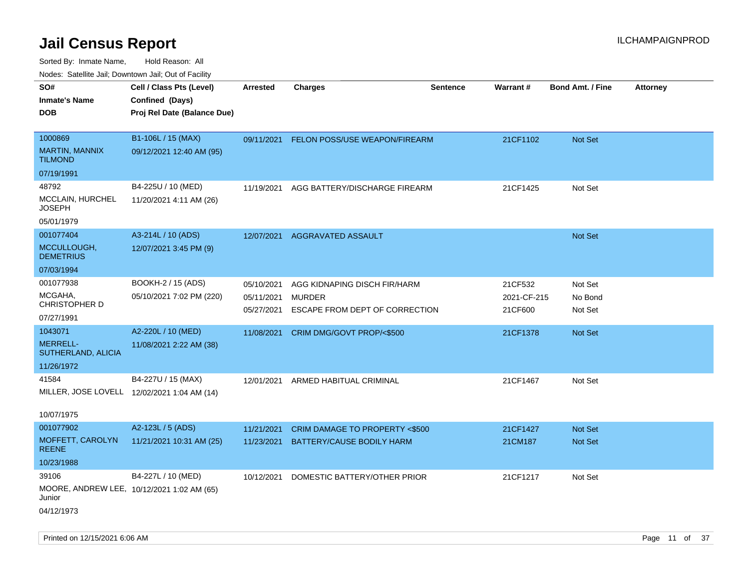| rougs. Calcinic Jan, Downtown Jan, Out of Facility |                                             |                          |                                                 |                 |                        |                         |                 |
|----------------------------------------------------|---------------------------------------------|--------------------------|-------------------------------------------------|-----------------|------------------------|-------------------------|-----------------|
| SO#                                                | Cell / Class Pts (Level)                    | <b>Arrested</b>          | <b>Charges</b>                                  | <b>Sentence</b> | <b>Warrant#</b>        | <b>Bond Amt. / Fine</b> | <b>Attorney</b> |
| <b>Inmate's Name</b>                               | Confined (Days)                             |                          |                                                 |                 |                        |                         |                 |
| <b>DOB</b>                                         | Proj Rel Date (Balance Due)                 |                          |                                                 |                 |                        |                         |                 |
|                                                    |                                             |                          |                                                 |                 |                        |                         |                 |
| 1000869                                            | B1-106L / 15 (MAX)                          |                          | 09/11/2021 FELON POSS/USE WEAPON/FIREARM        |                 | 21CF1102               | <b>Not Set</b>          |                 |
| <b>MARTIN, MANNIX</b><br><b>TILMOND</b>            | 09/12/2021 12:40 AM (95)                    |                          |                                                 |                 |                        |                         |                 |
| 07/19/1991                                         |                                             |                          |                                                 |                 |                        |                         |                 |
| 48792                                              | B4-225U / 10 (MED)                          | 11/19/2021               | AGG BATTERY/DISCHARGE FIREARM                   |                 | 21CF1425               | Not Set                 |                 |
| MCCLAIN, HURCHEL<br><b>JOSEPH</b>                  | 11/20/2021 4:11 AM (26)                     |                          |                                                 |                 |                        |                         |                 |
| 05/01/1979                                         |                                             |                          |                                                 |                 |                        |                         |                 |
| 001077404                                          | A3-214L / 10 (ADS)                          | 12/07/2021               | <b>AGGRAVATED ASSAULT</b>                       |                 |                        | <b>Not Set</b>          |                 |
| MCCULLOUGH,<br><b>DEMETRIUS</b>                    | 12/07/2021 3:45 PM (9)                      |                          |                                                 |                 |                        |                         |                 |
| 07/03/1994                                         |                                             |                          |                                                 |                 |                        |                         |                 |
| 001077938                                          | BOOKH-2 / 15 (ADS)                          | 05/10/2021               | AGG KIDNAPING DISCH FIR/HARM                    |                 | 21CF532                | Not Set                 |                 |
| MCGAHA,<br>CHRISTOPHER D                           | 05/10/2021 7:02 PM (220)                    | 05/11/2021<br>05/27/2021 | <b>MURDER</b><br>ESCAPE FROM DEPT OF CORRECTION |                 | 2021-CF-215<br>21CF600 | No Bond<br>Not Set      |                 |
| 07/27/1991                                         |                                             |                          |                                                 |                 |                        |                         |                 |
| 1043071                                            | A2-220L / 10 (MED)                          | 11/08/2021               | CRIM DMG/GOVT PROP/<\$500                       |                 | 21CF1378               | <b>Not Set</b>          |                 |
| <b>MERRELL-</b><br>SUTHERLAND, ALICIA              | 11/08/2021 2:22 AM (38)                     |                          |                                                 |                 |                        |                         |                 |
| 11/26/1972                                         |                                             |                          |                                                 |                 |                        |                         |                 |
| 41584                                              | B4-227U / 15 (MAX)                          | 12/01/2021               | ARMED HABITUAL CRIMINAL                         |                 | 21CF1467               | Not Set                 |                 |
|                                                    | MILLER, JOSE LOVELL 12/02/2021 1:04 AM (14) |                          |                                                 |                 |                        |                         |                 |
|                                                    |                                             |                          |                                                 |                 |                        |                         |                 |
| 10/07/1975                                         |                                             |                          |                                                 |                 |                        |                         |                 |
| 001077902                                          | A2-123L / 5 (ADS)                           | 11/21/2021               | CRIM DAMAGE TO PROPERTY <\$500                  |                 | 21CF1427               | <b>Not Set</b>          |                 |
| MOFFETT, CAROLYN<br><b>REENE</b>                   | 11/21/2021 10:31 AM (25)                    | 11/23/2021               | <b>BATTERY/CAUSE BODILY HARM</b>                |                 | 21CM187                | <b>Not Set</b>          |                 |
| 10/23/1988                                         |                                             |                          |                                                 |                 |                        |                         |                 |
| 39106                                              | B4-227L / 10 (MED)                          | 10/12/2021               | DOMESTIC BATTERY/OTHER PRIOR                    |                 | 21CF1217               | Not Set                 |                 |
| Junior                                             | MOORE, ANDREW LEE, 10/12/2021 1:02 AM (65)  |                          |                                                 |                 |                        |                         |                 |
| 04/12/1973                                         |                                             |                          |                                                 |                 |                        |                         |                 |
|                                                    |                                             |                          |                                                 |                 |                        |                         |                 |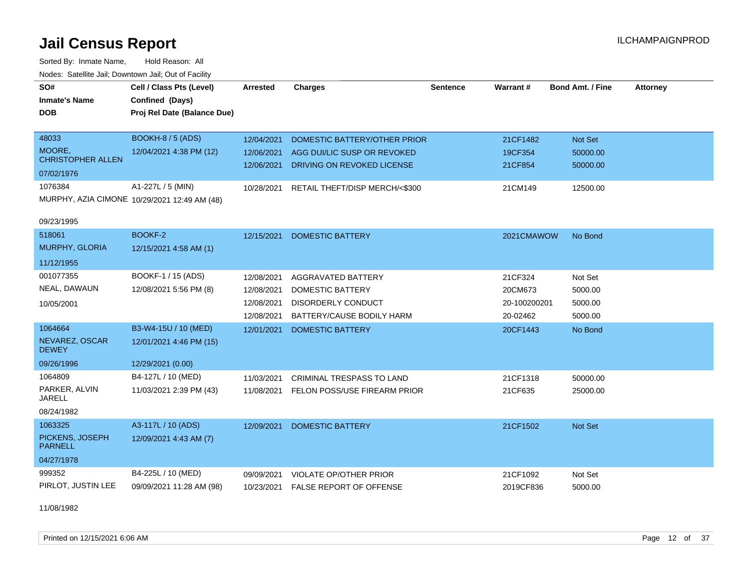Sorted By: Inmate Name, Hold Reason: All Nodes: Satellite Jail; Downtown Jail; Out of Facility

| SO#<br><b>Inmate's Name</b><br><b>DOB</b>                  | Cell / Class Pts (Level)<br>Confined (Days)<br>Proj Rel Date (Balance Due) | <b>Arrested</b>                                      | <b>Charges</b>                                                                                          | <b>Sentence</b> | Warrant#                                       | <b>Bond Amt. / Fine</b>                  | <b>Attorney</b> |
|------------------------------------------------------------|----------------------------------------------------------------------------|------------------------------------------------------|---------------------------------------------------------------------------------------------------------|-----------------|------------------------------------------------|------------------------------------------|-----------------|
| 48033<br>MOORE,<br><b>CHRISTOPHER ALLEN</b><br>07/02/1976  | <b>BOOKH-8 / 5 (ADS)</b><br>12/04/2021 4:38 PM (12)                        | 12/04/2021<br>12/06/2021<br>12/06/2021               | DOMESTIC BATTERY/OTHER PRIOR<br>AGG DUI/LIC SUSP OR REVOKED<br>DRIVING ON REVOKED LICENSE               |                 | 21CF1482<br>19CF354<br>21CF854                 | Not Set<br>50000.00<br>50000.00          |                 |
| 1076384<br>09/23/1995                                      | A1-227L / 5 (MIN)<br>MURPHY, AZIA CIMONE 10/29/2021 12:49 AM (48)          | 10/28/2021                                           | RETAIL THEFT/DISP MERCH/<\$300                                                                          |                 | 21CM149                                        | 12500.00                                 |                 |
| 518061<br><b>MURPHY, GLORIA</b><br>11/12/1955              | BOOKF-2<br>12/15/2021 4:58 AM (1)                                          | 12/15/2021                                           | <b>DOMESTIC BATTERY</b>                                                                                 |                 | 2021CMAWOW                                     | No Bond                                  |                 |
| 001077355<br>NEAL, DAWAUN<br>10/05/2001                    | BOOKF-1 / 15 (ADS)<br>12/08/2021 5:56 PM (8)                               | 12/08/2021<br>12/08/2021<br>12/08/2021<br>12/08/2021 | AGGRAVATED BATTERY<br><b>DOMESTIC BATTERY</b><br><b>DISORDERLY CONDUCT</b><br>BATTERY/CAUSE BODILY HARM |                 | 21CF324<br>20CM673<br>20-100200201<br>20-02462 | Not Set<br>5000.00<br>5000.00<br>5000.00 |                 |
| 1064664<br>NEVAREZ, OSCAR<br><b>DEWEY</b><br>09/26/1996    | B3-W4-15U / 10 (MED)<br>12/01/2021 4:46 PM (15)<br>12/29/2021 (0.00)       | 12/01/2021                                           | <b>DOMESTIC BATTERY</b>                                                                                 |                 | 20CF1443                                       | No Bond                                  |                 |
| 1064809<br>PARKER, ALVIN<br><b>JARELL</b><br>08/24/1982    | B4-127L / 10 (MED)<br>11/03/2021 2:39 PM (43)                              | 11/03/2021<br>11/08/2021                             | <b>CRIMINAL TRESPASS TO LAND</b><br>FELON POSS/USE FIREARM PRIOR                                        |                 | 21CF1318<br>21CF635                            | 50000.00<br>25000.00                     |                 |
| 1063325<br>PICKENS, JOSEPH<br><b>PARNELL</b><br>04/27/1978 | A3-117L / 10 (ADS)<br>12/09/2021 4:43 AM (7)                               | 12/09/2021                                           | <b>DOMESTIC BATTERY</b>                                                                                 |                 | 21CF1502                                       | Not Set                                  |                 |
| 999352<br>PIRLOT, JUSTIN LEE                               | B4-225L / 10 (MED)<br>09/09/2021 11:28 AM (98)                             | 09/09/2021<br>10/23/2021                             | <b>VIOLATE OP/OTHER PRIOR</b><br><b>FALSE REPORT OF OFFENSE</b>                                         |                 | 21CF1092<br>2019CF836                          | Not Set<br>5000.00                       |                 |

11/08/1982

Printed on  $12/15/2021$  6:06 AM Page 12 of 37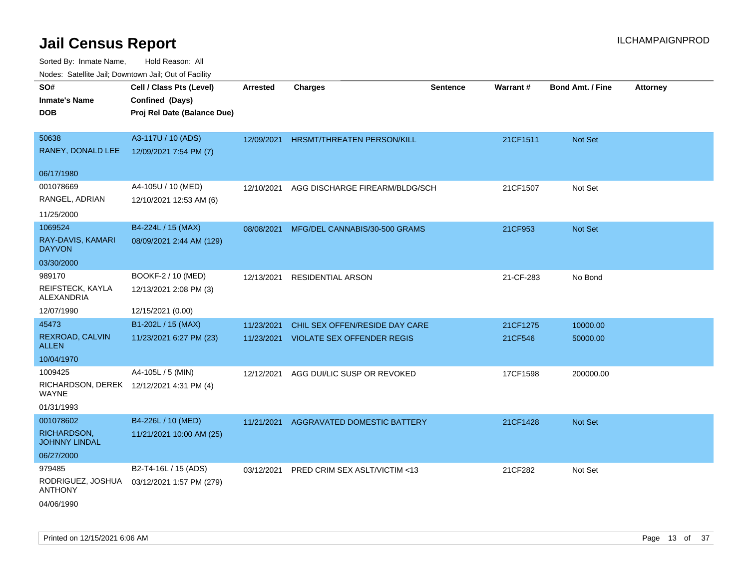| roaco. Odichile Jan, Downtown Jan, Out of Facility       |                                             |                 |                                |                 |           |                         |                 |
|----------------------------------------------------------|---------------------------------------------|-----------------|--------------------------------|-----------------|-----------|-------------------------|-----------------|
| SO#<br><b>Inmate's Name</b>                              | Cell / Class Pts (Level)<br>Confined (Days) | <b>Arrested</b> | <b>Charges</b>                 | <b>Sentence</b> | Warrant#  | <b>Bond Amt. / Fine</b> | <b>Attorney</b> |
| <b>DOB</b>                                               | Proj Rel Date (Balance Due)                 |                 |                                |                 |           |                         |                 |
| 50638                                                    | A3-117U / 10 (ADS)                          | 12/09/2021      | HRSMT/THREATEN PERSON/KILL     |                 | 21CF1511  | Not Set                 |                 |
| RANEY, DONALD LEE                                        | 12/09/2021 7:54 PM (7)                      |                 |                                |                 |           |                         |                 |
| 06/17/1980                                               |                                             |                 |                                |                 |           |                         |                 |
| 001078669                                                | A4-105U / 10 (MED)                          | 12/10/2021      | AGG DISCHARGE FIREARM/BLDG/SCH |                 | 21CF1507  | Not Set                 |                 |
| RANGEL, ADRIAN                                           | 12/10/2021 12:53 AM (6)                     |                 |                                |                 |           |                         |                 |
| 11/25/2000                                               |                                             |                 |                                |                 |           |                         |                 |
| 1069524                                                  | B4-224L / 15 (MAX)                          | 08/08/2021      | MFG/DEL CANNABIS/30-500 GRAMS  |                 | 21CF953   | <b>Not Set</b>          |                 |
| RAY-DAVIS, KAMARI<br><b>DAYVON</b>                       | 08/09/2021 2:44 AM (129)                    |                 |                                |                 |           |                         |                 |
| 03/30/2000                                               |                                             |                 |                                |                 |           |                         |                 |
| 989170                                                   | BOOKF-2 / 10 (MED)                          | 12/13/2021      | <b>RESIDENTIAL ARSON</b>       |                 | 21-CF-283 | No Bond                 |                 |
| REIFSTECK, KAYLA<br>ALEXANDRIA                           | 12/13/2021 2:08 PM (3)                      |                 |                                |                 |           |                         |                 |
| 12/07/1990                                               | 12/15/2021 (0.00)                           |                 |                                |                 |           |                         |                 |
| 45473                                                    | B1-202L / 15 (MAX)                          | 11/23/2021      | CHIL SEX OFFEN/RESIDE DAY CARE |                 | 21CF1275  | 10000.00                |                 |
| REXROAD, CALVIN<br><b>ALLEN</b>                          | 11/23/2021 6:27 PM (23)                     | 11/23/2021      | VIOLATE SEX OFFENDER REGIS     |                 | 21CF546   | 50000.00                |                 |
| 10/04/1970                                               |                                             |                 |                                |                 |           |                         |                 |
| 1009425                                                  | A4-105L / 5 (MIN)                           | 12/12/2021      | AGG DUI/LIC SUSP OR REVOKED    |                 | 17CF1598  | 200000.00               |                 |
| RICHARDSON, DEREK 12/12/2021 4:31 PM (4)<br><b>WAYNE</b> |                                             |                 |                                |                 |           |                         |                 |
| 01/31/1993                                               |                                             |                 |                                |                 |           |                         |                 |
| 001078602                                                | B4-226L / 10 (MED)                          | 11/21/2021      | AGGRAVATED DOMESTIC BATTERY    |                 | 21CF1428  | Not Set                 |                 |
| RICHARDSON,<br><b>JOHNNY LINDAL</b>                      | 11/21/2021 10:00 AM (25)                    |                 |                                |                 |           |                         |                 |
| 06/27/2000                                               |                                             |                 |                                |                 |           |                         |                 |
| 979485                                                   | B2-T4-16L / 15 (ADS)                        | 03/12/2021      | PRED CRIM SEX ASLT/VICTIM <13  |                 | 21CF282   | Not Set                 |                 |
| RODRIGUEZ, JOSHUA<br><b>ANTHONY</b>                      | 03/12/2021 1:57 PM (279)                    |                 |                                |                 |           |                         |                 |
| 04/06/1990                                               |                                             |                 |                                |                 |           |                         |                 |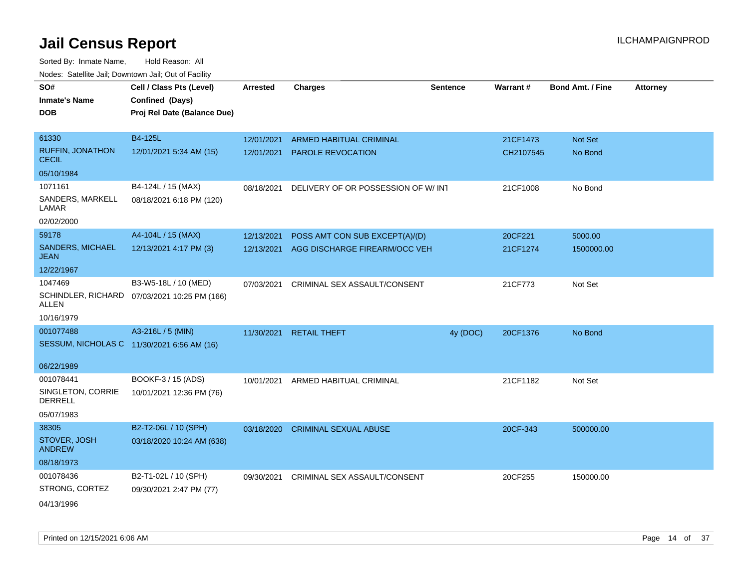| Todoo. Catolino can, Bomntonn can, Out of Faoin |                                                                            |                 |                                    |                 |                 |                         |                 |
|-------------------------------------------------|----------------------------------------------------------------------------|-----------------|------------------------------------|-----------------|-----------------|-------------------------|-----------------|
| SO#<br><b>Inmate's Name</b><br><b>DOB</b>       | Cell / Class Pts (Level)<br>Confined (Days)<br>Proj Rel Date (Balance Due) | <b>Arrested</b> | <b>Charges</b>                     | <b>Sentence</b> | <b>Warrant#</b> | <b>Bond Amt. / Fine</b> | <b>Attorney</b> |
|                                                 |                                                                            |                 |                                    |                 |                 |                         |                 |
| 61330                                           | B4-125L                                                                    | 12/01/2021      | ARMED HABITUAL CRIMINAL            |                 | 21CF1473        | <b>Not Set</b>          |                 |
| <b>RUFFIN, JONATHON</b><br><b>CECIL</b>         | 12/01/2021 5:34 AM (15)                                                    | 12/01/2021      | <b>PAROLE REVOCATION</b>           |                 | CH2107545       | No Bond                 |                 |
| 05/10/1984                                      |                                                                            |                 |                                    |                 |                 |                         |                 |
| 1071161                                         | B4-124L / 15 (MAX)                                                         | 08/18/2021      | DELIVERY OF OR POSSESSION OF W/INT |                 | 21CF1008        | No Bond                 |                 |
| SANDERS, MARKELL<br>LAMAR                       | 08/18/2021 6:18 PM (120)                                                   |                 |                                    |                 |                 |                         |                 |
| 02/02/2000                                      |                                                                            |                 |                                    |                 |                 |                         |                 |
| 59178                                           | A4-104L / 15 (MAX)                                                         | 12/13/2021      | POSS AMT CON SUB EXCEPT(A)/(D)     |                 | 20CF221         | 5000.00                 |                 |
| SANDERS, MICHAEL<br><b>JEAN</b>                 | 12/13/2021 4:17 PM (3)                                                     | 12/13/2021      | AGG DISCHARGE FIREARM/OCC VEH      |                 | 21CF1274        | 1500000.00              |                 |
| 12/22/1967                                      |                                                                            |                 |                                    |                 |                 |                         |                 |
| 1047469                                         | B3-W5-18L / 10 (MED)                                                       | 07/03/2021      | CRIMINAL SEX ASSAULT/CONSENT       |                 | 21CF773         | Not Set                 |                 |
| ALLEN                                           | SCHINDLER, RICHARD 07/03/2021 10:25 PM (166)                               |                 |                                    |                 |                 |                         |                 |
| 10/16/1979                                      |                                                                            |                 |                                    |                 |                 |                         |                 |
| 001077488                                       | A3-216L / 5 (MIN)                                                          | 11/30/2021      | <b>RETAIL THEFT</b>                | 4y (DOC)        | 20CF1376        | No Bond                 |                 |
|                                                 | SESSUM, NICHOLAS C 11/30/2021 6:56 AM (16)                                 |                 |                                    |                 |                 |                         |                 |
| 06/22/1989                                      |                                                                            |                 |                                    |                 |                 |                         |                 |
| 001078441                                       | BOOKF-3 / 15 (ADS)                                                         | 10/01/2021      | ARMED HABITUAL CRIMINAL            |                 | 21CF1182        | Not Set                 |                 |
| SINGLETON, CORRIE<br>DERRELL                    | 10/01/2021 12:36 PM (76)                                                   |                 |                                    |                 |                 |                         |                 |
| 05/07/1983                                      |                                                                            |                 |                                    |                 |                 |                         |                 |
| 38305                                           | B2-T2-06L / 10 (SPH)                                                       | 03/18/2020      | <b>CRIMINAL SEXUAL ABUSE</b>       |                 | 20CF-343        | 500000.00               |                 |
| STOVER, JOSH<br><b>ANDREW</b>                   | 03/18/2020 10:24 AM (638)                                                  |                 |                                    |                 |                 |                         |                 |
| 08/18/1973                                      |                                                                            |                 |                                    |                 |                 |                         |                 |
| 001078436                                       | B2-T1-02L / 10 (SPH)                                                       | 09/30/2021      | CRIMINAL SEX ASSAULT/CONSENT       |                 | 20CF255         | 150000.00               |                 |
| STRONG, CORTEZ                                  | 09/30/2021 2:47 PM (77)                                                    |                 |                                    |                 |                 |                         |                 |
| 04/13/1996                                      |                                                                            |                 |                                    |                 |                 |                         |                 |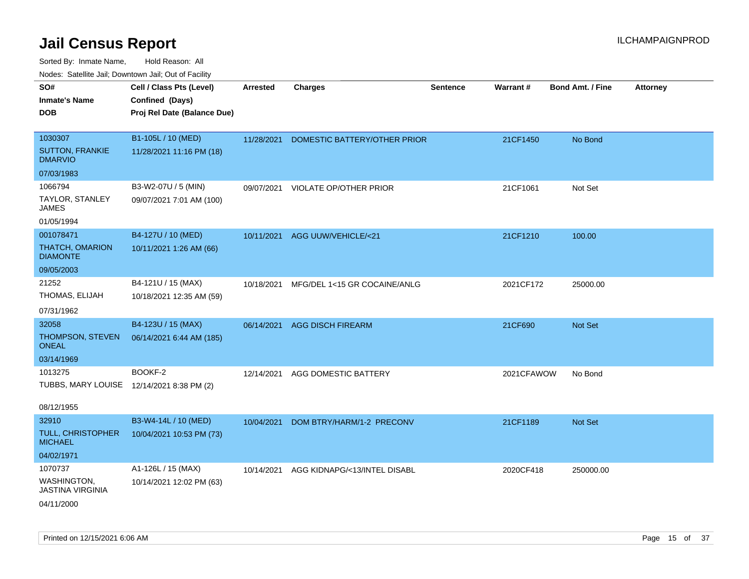| ivuutos. Saltiilit Jall, Duwilluwii Jall, Oul of Facility |                             |                 |                              |                 |                 |                         |                 |
|-----------------------------------------------------------|-----------------------------|-----------------|------------------------------|-----------------|-----------------|-------------------------|-----------------|
| SO#                                                       | Cell / Class Pts (Level)    | <b>Arrested</b> | <b>Charges</b>               | <b>Sentence</b> | <b>Warrant#</b> | <b>Bond Amt. / Fine</b> | <b>Attorney</b> |
| <b>Inmate's Name</b>                                      | Confined (Days)             |                 |                              |                 |                 |                         |                 |
| <b>DOB</b>                                                | Proj Rel Date (Balance Due) |                 |                              |                 |                 |                         |                 |
|                                                           |                             |                 |                              |                 |                 |                         |                 |
| 1030307                                                   | B1-105L / 10 (MED)          | 11/28/2021      | DOMESTIC BATTERY/OTHER PRIOR |                 | 21CF1450        | No Bond                 |                 |
| <b>SUTTON, FRANKIE</b><br><b>DMARVIO</b>                  | 11/28/2021 11:16 PM (18)    |                 |                              |                 |                 |                         |                 |
| 07/03/1983                                                |                             |                 |                              |                 |                 |                         |                 |
| 1066794                                                   | B3-W2-07U / 5 (MIN)         | 09/07/2021      | VIOLATE OP/OTHER PRIOR       |                 | 21CF1061        | Not Set                 |                 |
| TAYLOR, STANLEY<br><b>JAMES</b>                           | 09/07/2021 7:01 AM (100)    |                 |                              |                 |                 |                         |                 |
| 01/05/1994                                                |                             |                 |                              |                 |                 |                         |                 |
| 001078471                                                 | B4-127U / 10 (MED)          | 10/11/2021      | AGG UUW/VEHICLE/<21          |                 | 21CF1210        | 100.00                  |                 |
| THATCH, OMARION<br><b>DIAMONTE</b>                        | 10/11/2021 1:26 AM (66)     |                 |                              |                 |                 |                         |                 |
| 09/05/2003                                                |                             |                 |                              |                 |                 |                         |                 |
| 21252                                                     | B4-121U / 15 (MAX)          | 10/18/2021      | MFG/DEL 1<15 GR COCAINE/ANLG |                 | 2021CF172       | 25000.00                |                 |
| THOMAS, ELIJAH                                            | 10/18/2021 12:35 AM (59)    |                 |                              |                 |                 |                         |                 |
| 07/31/1962                                                |                             |                 |                              |                 |                 |                         |                 |
| 32058                                                     | B4-123U / 15 (MAX)          | 06/14/2021      | <b>AGG DISCH FIREARM</b>     |                 | 21CF690         | <b>Not Set</b>          |                 |
| THOMPSON, STEVEN<br><b>ONEAL</b>                          | 06/14/2021 6:44 AM (185)    |                 |                              |                 |                 |                         |                 |
| 03/14/1969                                                |                             |                 |                              |                 |                 |                         |                 |
| 1013275                                                   | BOOKF-2                     | 12/14/2021      | AGG DOMESTIC BATTERY         |                 | 2021CFAWOW      | No Bond                 |                 |
| TUBBS, MARY LOUISE 12/14/2021 8:38 PM (2)                 |                             |                 |                              |                 |                 |                         |                 |
|                                                           |                             |                 |                              |                 |                 |                         |                 |
| 08/12/1955                                                |                             |                 |                              |                 |                 |                         |                 |
| 32910                                                     | B3-W4-14L / 10 (MED)        | 10/04/2021      | DOM BTRY/HARM/1-2 PRECONV    |                 | 21CF1189        | Not Set                 |                 |
| <b>TULL, CHRISTOPHER</b><br><b>MICHAEL</b>                | 10/04/2021 10:53 PM (73)    |                 |                              |                 |                 |                         |                 |
| 04/02/1971                                                |                             |                 |                              |                 |                 |                         |                 |
| 1070737                                                   | A1-126L / 15 (MAX)          | 10/14/2021      | AGG KIDNAPG/<13/INTEL DISABL |                 | 2020CF418       | 250000.00               |                 |
| WASHINGTON,<br>JASTINA VIRGINIA                           | 10/14/2021 12:02 PM (63)    |                 |                              |                 |                 |                         |                 |
| 04/11/2000                                                |                             |                 |                              |                 |                 |                         |                 |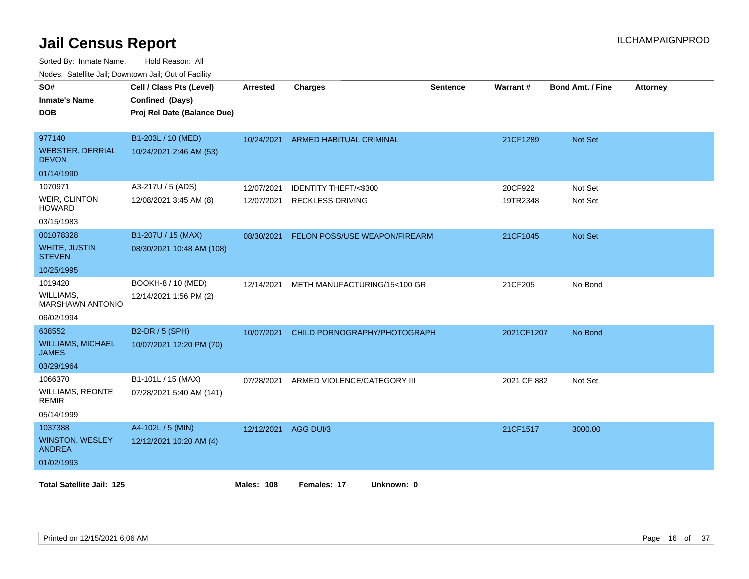Sorted By: Inmate Name, Hold Reason: All

|                                          | Nodes: Satellite Jail; Downtown Jail; Out of Facility |                   |                                |                 |             |                         |                 |  |  |
|------------------------------------------|-------------------------------------------------------|-------------------|--------------------------------|-----------------|-------------|-------------------------|-----------------|--|--|
| SO#                                      | Cell / Class Pts (Level)                              | <b>Arrested</b>   | <b>Charges</b>                 | <b>Sentence</b> | Warrant#    | <b>Bond Amt. / Fine</b> | <b>Attorney</b> |  |  |
| <b>Inmate's Name</b>                     | Confined (Days)                                       |                   |                                |                 |             |                         |                 |  |  |
| <b>DOB</b>                               | Proj Rel Date (Balance Due)                           |                   |                                |                 |             |                         |                 |  |  |
|                                          |                                                       |                   |                                |                 |             |                         |                 |  |  |
| 977140                                   | B1-203L / 10 (MED)                                    | 10/24/2021        | <b>ARMED HABITUAL CRIMINAL</b> |                 | 21CF1289    | Not Set                 |                 |  |  |
| <b>WEBSTER, DERRIAL</b><br><b>DEVON</b>  | 10/24/2021 2:46 AM (53)                               |                   |                                |                 |             |                         |                 |  |  |
| 01/14/1990                               |                                                       |                   |                                |                 |             |                         |                 |  |  |
| 1070971                                  | A3-217U / 5 (ADS)                                     | 12/07/2021        | IDENTITY THEFT/<\$300          |                 | 20CF922     | Not Set                 |                 |  |  |
| <b>WEIR, CLINTON</b><br><b>HOWARD</b>    | 12/08/2021 3:45 AM (8)                                | 12/07/2021        | <b>RECKLESS DRIVING</b>        |                 | 19TR2348    | Not Set                 |                 |  |  |
| 03/15/1983                               |                                                       |                   |                                |                 |             |                         |                 |  |  |
| 001078328                                | B1-207U / 15 (MAX)                                    | 08/30/2021        | FELON POSS/USE WEAPON/FIREARM  |                 | 21CF1045    | Not Set                 |                 |  |  |
| <b>WHITE, JUSTIN</b><br><b>STEVEN</b>    | 08/30/2021 10:48 AM (108)                             |                   |                                |                 |             |                         |                 |  |  |
| 10/25/1995                               |                                                       |                   |                                |                 |             |                         |                 |  |  |
| 1019420                                  | BOOKH-8 / 10 (MED)                                    | 12/14/2021        | METH MANUFACTURING/15<100 GR   |                 | 21CF205     | No Bond                 |                 |  |  |
| WILLIAMS.<br><b>MARSHAWN ANTONIO</b>     | 12/14/2021 1:56 PM (2)                                |                   |                                |                 |             |                         |                 |  |  |
| 06/02/1994                               |                                                       |                   |                                |                 |             |                         |                 |  |  |
| 638552                                   | B2-DR / 5 (SPH)                                       | 10/07/2021        | CHILD PORNOGRAPHY/PHOTOGRAPH   |                 | 2021CF1207  | No Bond                 |                 |  |  |
| <b>WILLIAMS, MICHAEL</b><br><b>JAMES</b> | 10/07/2021 12:20 PM (70)                              |                   |                                |                 |             |                         |                 |  |  |
| 03/29/1964                               |                                                       |                   |                                |                 |             |                         |                 |  |  |
| 1066370                                  | B1-101L / 15 (MAX)                                    | 07/28/2021        | ARMED VIOLENCE/CATEGORY III    |                 | 2021 CF 882 | Not Set                 |                 |  |  |
| <b>WILLIAMS, REONTE</b><br><b>REMIR</b>  | 07/28/2021 5:40 AM (141)                              |                   |                                |                 |             |                         |                 |  |  |
| 05/14/1999                               |                                                       |                   |                                |                 |             |                         |                 |  |  |
| 1037388                                  | A4-102L / 5 (MIN)                                     | 12/12/2021        | AGG DUI/3                      |                 | 21CF1517    | 3000.00                 |                 |  |  |
| WINSTON, WESLEY<br><b>ANDREA</b>         | 12/12/2021 10:20 AM (4)                               |                   |                                |                 |             |                         |                 |  |  |
| 01/02/1993                               |                                                       |                   |                                |                 |             |                         |                 |  |  |
| <b>Total Satellite Jail: 125</b>         |                                                       | <b>Males: 108</b> | Females: 17<br>Unknown: 0      |                 |             |                         |                 |  |  |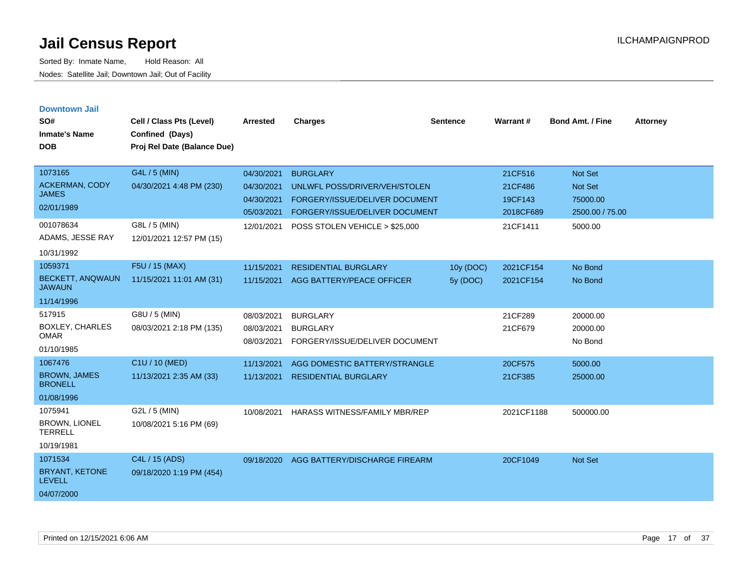| <b>Downtown Jail</b><br>SO#<br><b>Inmate's Name</b><br><b>DOB</b> | Cell / Class Pts (Level)<br>Confined (Days)<br>Proj Rel Date (Balance Due) | <b>Arrested</b>                        | <b>Charges</b>                                                       | <b>Sentence</b>         | Warrant#               | <b>Bond Amt. / Fine</b>         | <b>Attorney</b> |
|-------------------------------------------------------------------|----------------------------------------------------------------------------|----------------------------------------|----------------------------------------------------------------------|-------------------------|------------------------|---------------------------------|-----------------|
| 1073165                                                           | G4L / 5 (MIN)                                                              | 04/30/2021                             | <b>BURGLARY</b>                                                      |                         | 21CF516                | <b>Not Set</b>                  |                 |
| <b>ACKERMAN, CODY</b><br><b>JAMES</b>                             | 04/30/2021 4:48 PM (230)                                                   | 04/30/2021                             | UNLWFL POSS/DRIVER/VEH/STOLEN                                        |                         | 21CF486                | <b>Not Set</b>                  |                 |
| 02/01/1989                                                        |                                                                            | 04/30/2021<br>05/03/2021               | FORGERY/ISSUE/DELIVER DOCUMENT<br>FORGERY/ISSUE/DELIVER DOCUMENT     |                         | 19CF143<br>2018CF689   | 75000.00<br>2500.00 / 75.00     |                 |
| 001078634<br>ADAMS, JESSE RAY                                     | G8L / 5 (MIN)<br>12/01/2021 12:57 PM (15)                                  | 12/01/2021                             | POSS STOLEN VEHICLE > \$25,000                                       |                         | 21CF1411               | 5000.00                         |                 |
| 10/31/1992<br>1059371                                             |                                                                            |                                        |                                                                      |                         |                        |                                 |                 |
| BECKETT, ANQWAUN<br><b>JAWAUN</b>                                 | F5U / 15 (MAX)<br>11/15/2021 11:01 AM (31)                                 | 11/15/2021<br>11/15/2021               | <b>RESIDENTIAL BURGLARY</b><br>AGG BATTERY/PEACE OFFICER             | 10y (DOC)<br>$5v$ (DOC) | 2021CF154<br>2021CF154 | No Bond<br>No Bond              |                 |
| 11/14/1996                                                        |                                                                            |                                        |                                                                      |                         |                        |                                 |                 |
| 517915<br><b>BOXLEY, CHARLES</b><br><b>OMAR</b><br>01/10/1985     | G8U / 5 (MIN)<br>08/03/2021 2:18 PM (135)                                  | 08/03/2021<br>08/03/2021<br>08/03/2021 | <b>BURGLARY</b><br><b>BURGLARY</b><br>FORGERY/ISSUE/DELIVER DOCUMENT |                         | 21CF289<br>21CF679     | 20000.00<br>20000.00<br>No Bond |                 |
| 1067476                                                           | C1U / 10 (MED)                                                             | 11/13/2021                             | AGG DOMESTIC BATTERY/STRANGLE                                        |                         | 20CF575                | 5000.00                         |                 |
| <b>BROWN, JAMES</b><br><b>BRONELL</b>                             | 11/13/2021 2:35 AM (33)                                                    | 11/13/2021                             | <b>RESIDENTIAL BURGLARY</b>                                          |                         | 21CF385                | 25000.00                        |                 |
| 01/08/1996                                                        |                                                                            |                                        |                                                                      |                         |                        |                                 |                 |
| 1075941<br><b>BROWN, LIONEL</b><br><b>TERRELL</b>                 | G2L / 5 (MIN)<br>10/08/2021 5:16 PM (69)                                   | 10/08/2021                             | <b>HARASS WITNESS/FAMILY MBR/REP</b>                                 |                         | 2021CF1188             | 500000.00                       |                 |
| 10/19/1981                                                        |                                                                            |                                        |                                                                      |                         |                        |                                 |                 |
| 1071534<br><b>BRYANT, KETONE</b><br><b>LEVELL</b><br>04/07/2000   | C4L / 15 (ADS)<br>09/18/2020 1:19 PM (454)                                 | 09/18/2020                             | AGG BATTERY/DISCHARGE FIREARM                                        |                         | 20CF1049               | Not Set                         |                 |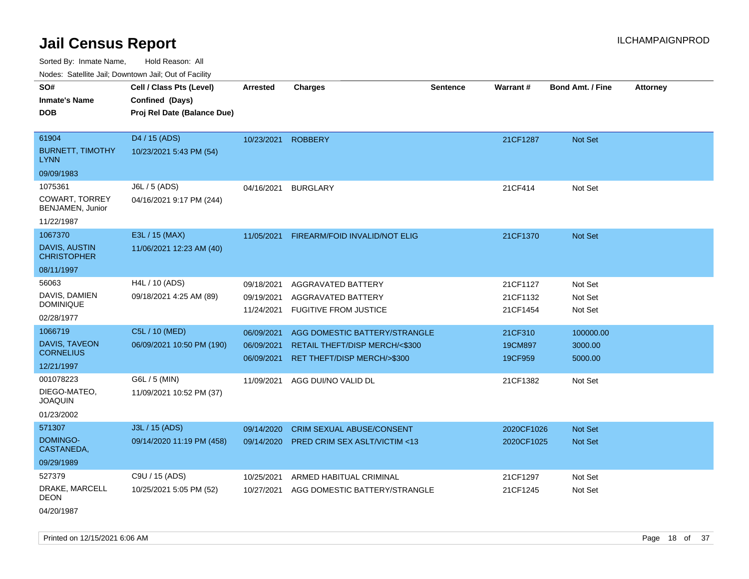Sorted By: Inmate Name, Hold Reason: All

Nodes: Satellite Jail; Downtown Jail; Out of Facility

| Noues. Salemie Jan, Downlown Jan, Out of Facility |                             |                 |                                         |                 |            |                         |                 |
|---------------------------------------------------|-----------------------------|-----------------|-----------------------------------------|-----------------|------------|-------------------------|-----------------|
| SO#                                               | Cell / Class Pts (Level)    | <b>Arrested</b> | <b>Charges</b>                          | <b>Sentence</b> | Warrant#   | <b>Bond Amt. / Fine</b> | <b>Attorney</b> |
| <b>Inmate's Name</b>                              | Confined (Days)             |                 |                                         |                 |            |                         |                 |
| <b>DOB</b>                                        | Proj Rel Date (Balance Due) |                 |                                         |                 |            |                         |                 |
|                                                   |                             |                 |                                         |                 |            |                         |                 |
| 61904                                             | D4 / 15 (ADS)               | 10/23/2021      | <b>ROBBERY</b>                          |                 | 21CF1287   | Not Set                 |                 |
| <b>BURNETT, TIMOTHY</b><br><b>LYNN</b>            | 10/23/2021 5:43 PM (54)     |                 |                                         |                 |            |                         |                 |
| 09/09/1983                                        |                             |                 |                                         |                 |            |                         |                 |
| 1075361                                           | J6L / 5 (ADS)               |                 | 04/16/2021 BURGLARY                     |                 | 21CF414    | Not Set                 |                 |
| COWART, TORREY<br>BENJAMEN, Junior                | 04/16/2021 9:17 PM (244)    |                 |                                         |                 |            |                         |                 |
| 11/22/1987                                        |                             |                 |                                         |                 |            |                         |                 |
| 1067370                                           | E3L / 15 (MAX)              | 11/05/2021      | FIREARM/FOID INVALID/NOT ELIG           |                 | 21CF1370   | Not Set                 |                 |
| <b>DAVIS, AUSTIN</b><br><b>CHRISTOPHER</b>        | 11/06/2021 12:23 AM (40)    |                 |                                         |                 |            |                         |                 |
| 08/11/1997                                        |                             |                 |                                         |                 |            |                         |                 |
| 56063                                             | H4L / 10 (ADS)              | 09/18/2021      | AGGRAVATED BATTERY                      |                 | 21CF1127   | Not Set                 |                 |
| DAVIS, DAMIEN                                     | 09/18/2021 4:25 AM (89)     | 09/19/2021      | AGGRAVATED BATTERY                      |                 | 21CF1132   | Not Set                 |                 |
| <b>DOMINIQUE</b>                                  |                             | 11/24/2021      | <b>FUGITIVE FROM JUSTICE</b>            |                 | 21CF1454   | Not Set                 |                 |
| 02/28/1977                                        |                             |                 |                                         |                 |            |                         |                 |
| 1066719                                           | C5L / 10 (MED)              | 06/09/2021      | AGG DOMESTIC BATTERY/STRANGLE           |                 | 21CF310    | 100000.00               |                 |
| DAVIS, TAVEON<br><b>CORNELIUS</b>                 | 06/09/2021 10:50 PM (190)   | 06/09/2021      | RETAIL THEFT/DISP MERCH/<\$300          |                 | 19CM897    | 3000.00                 |                 |
| 12/21/1997                                        |                             | 06/09/2021      | RET THEFT/DISP MERCH/>\$300             |                 | 19CF959    | 5000.00                 |                 |
| 001078223                                         | G6L / 5 (MIN)               | 11/09/2021      | AGG DUI/NO VALID DL                     |                 | 21CF1382   | Not Set                 |                 |
| DIEGO-MATEO.<br><b>JOAQUIN</b>                    | 11/09/2021 10:52 PM (37)    |                 |                                         |                 |            |                         |                 |
| 01/23/2002                                        |                             |                 |                                         |                 |            |                         |                 |
| 571307                                            | J3L / 15 (ADS)              | 09/14/2020      | <b>CRIM SEXUAL ABUSE/CONSENT</b>        |                 | 2020CF1026 | <b>Not Set</b>          |                 |
| DOMINGO-<br>CASTANEDA,                            | 09/14/2020 11:19 PM (458)   | 09/14/2020      | <b>PRED CRIM SEX ASLT/VICTIM &lt;13</b> |                 | 2020CF1025 | <b>Not Set</b>          |                 |
| 09/29/1989                                        |                             |                 |                                         |                 |            |                         |                 |
| 527379                                            | C9U / 15 (ADS)              | 10/25/2021      | ARMED HABITUAL CRIMINAL                 |                 | 21CF1297   | Not Set                 |                 |
| DRAKE, MARCELL<br><b>DEON</b>                     | 10/25/2021 5:05 PM (52)     | 10/27/2021      | AGG DOMESTIC BATTERY/STRANGLE           |                 | 21CF1245   | Not Set                 |                 |
|                                                   |                             |                 |                                         |                 |            |                         |                 |

04/20/1987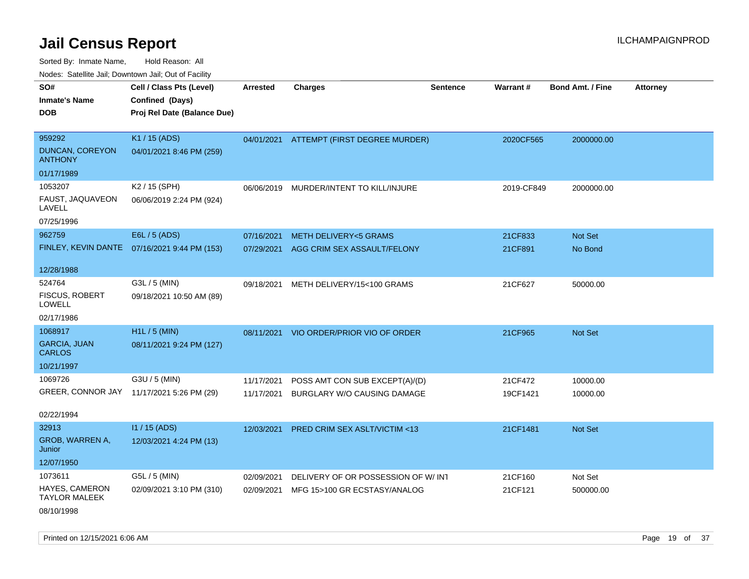Sorted By: Inmate Name, Hold Reason: All

Nodes: Satellite Jail; Downtown Jail; Out of Facility

| SO#                                    | Cell / Class Pts (Level)                     | <b>Arrested</b> | <b>Charges</b>                           | Sentence | Warrant#   | <b>Bond Amt. / Fine</b> | <b>Attorney</b> |
|----------------------------------------|----------------------------------------------|-----------------|------------------------------------------|----------|------------|-------------------------|-----------------|
| <b>Inmate's Name</b>                   | Confined (Days)                              |                 |                                          |          |            |                         |                 |
| <b>DOB</b>                             | Proj Rel Date (Balance Due)                  |                 |                                          |          |            |                         |                 |
|                                        |                                              |                 |                                          |          |            |                         |                 |
| 959292                                 | K1 / 15 (ADS)                                |                 | 04/01/2021 ATTEMPT (FIRST DEGREE MURDER) |          | 2020CF565  | 2000000.00              |                 |
| DUNCAN, COREYON<br><b>ANTHONY</b>      | 04/01/2021 8:46 PM (259)                     |                 |                                          |          |            |                         |                 |
| 01/17/1989                             |                                              |                 |                                          |          |            |                         |                 |
| 1053207                                | K2 / 15 (SPH)                                | 06/06/2019      | MURDER/INTENT TO KILL/INJURE             |          | 2019-CF849 | 2000000.00              |                 |
| FAUST, JAQUAVEON<br>LAVELL             | 06/06/2019 2:24 PM (924)                     |                 |                                          |          |            |                         |                 |
| 07/25/1996                             |                                              |                 |                                          |          |            |                         |                 |
| 962759                                 | E6L / 5 (ADS)                                | 07/16/2021      | <b>METH DELIVERY&lt;5 GRAMS</b>          |          | 21CF833    | Not Set                 |                 |
|                                        | FINLEY, KEVIN DANTE 07/16/2021 9:44 PM (153) | 07/29/2021      | AGG CRIM SEX ASSAULT/FELONY              |          | 21CF891    | No Bond                 |                 |
|                                        |                                              |                 |                                          |          |            |                         |                 |
| 12/28/1988                             |                                              |                 |                                          |          |            |                         |                 |
| 524764                                 | G3L / 5 (MIN)                                | 09/18/2021      | METH DELIVERY/15<100 GRAMS               |          | 21CF627    | 50000.00                |                 |
| FISCUS, ROBERT<br><b>LOWELL</b>        | 09/18/2021 10:50 AM (89)                     |                 |                                          |          |            |                         |                 |
| 02/17/1986                             |                                              |                 |                                          |          |            |                         |                 |
| 1068917                                | H1L / 5 (MIN)                                | 08/11/2021      | VIO ORDER/PRIOR VIO OF ORDER             |          | 21CF965    | Not Set                 |                 |
| <b>GARCIA, JUAN</b><br><b>CARLOS</b>   | 08/11/2021 9:24 PM (127)                     |                 |                                          |          |            |                         |                 |
| 10/21/1997                             |                                              |                 |                                          |          |            |                         |                 |
| 1069726                                | G3U / 5 (MIN)                                | 11/17/2021      | POSS AMT CON SUB EXCEPT(A)/(D)           |          | 21CF472    | 10000.00                |                 |
|                                        | GREER, CONNOR JAY 11/17/2021 5:26 PM (29)    | 11/17/2021      | BURGLARY W/O CAUSING DAMAGE              |          | 19CF1421   | 10000.00                |                 |
|                                        |                                              |                 |                                          |          |            |                         |                 |
| 02/22/1994                             |                                              |                 |                                          |          |            |                         |                 |
| 32913                                  | $11/15$ (ADS)                                | 12/03/2021      | PRED CRIM SEX ASLT/VICTIM <13            |          | 21CF1481   | Not Set                 |                 |
| GROB, WARREN A,<br>Junior              | 12/03/2021 4:24 PM (13)                      |                 |                                          |          |            |                         |                 |
| 12/07/1950                             |                                              |                 |                                          |          |            |                         |                 |
| 1073611                                | G5L / 5 (MIN)                                | 02/09/2021      | DELIVERY OF OR POSSESSION OF W/INT       |          | 21CF160    | Not Set                 |                 |
| HAYES, CAMERON<br><b>TAYLOR MALEEK</b> | 02/09/2021 3:10 PM (310)                     | 02/09/2021      | MFG 15>100 GR ECSTASY/ANALOG             |          | 21CF121    | 500000.00               |                 |
| 08/10/1998                             |                                              |                 |                                          |          |            |                         |                 |

Printed on 12/15/2021 6:06 AM **Page 19 of 37**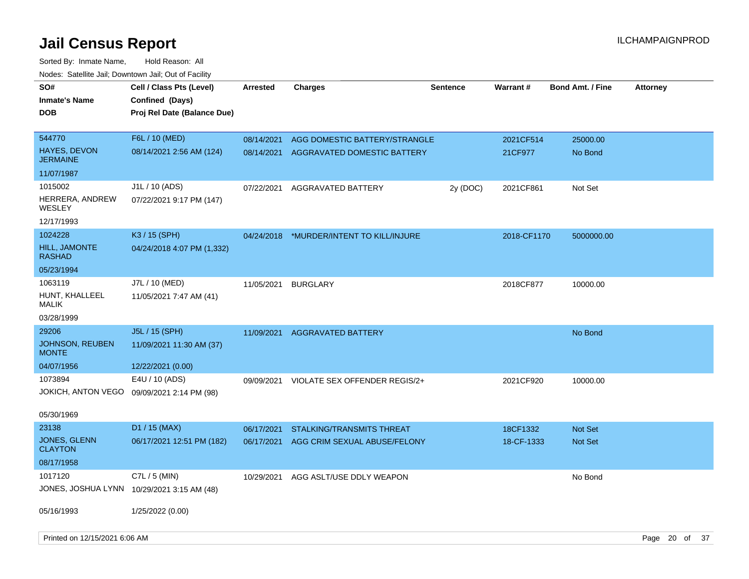| SO#<br><b>Inmate's Name</b><br><b>DOB</b>        | Cell / Class Pts (Level)<br>Confined (Days)<br>Proj Rel Date (Balance Due) | <b>Arrested</b>          | <b>Charges</b>                                               | <b>Sentence</b> | Warrant#             | <b>Bond Amt. / Fine</b> | <b>Attorney</b> |  |
|--------------------------------------------------|----------------------------------------------------------------------------|--------------------------|--------------------------------------------------------------|-----------------|----------------------|-------------------------|-----------------|--|
| 544770<br><b>HAYES, DEVON</b><br><b>JERMAINE</b> | F6L / 10 (MED)<br>08/14/2021 2:56 AM (124)                                 | 08/14/2021<br>08/14/2021 | AGG DOMESTIC BATTERY/STRANGLE<br>AGGRAVATED DOMESTIC BATTERY |                 | 2021CF514<br>21CF977 | 25000.00<br>No Bond     |                 |  |
| 11/07/1987                                       |                                                                            |                          |                                                              |                 |                      |                         |                 |  |
| 1015002<br>HERRERA, ANDREW<br>WESLEY             | J1L / 10 (ADS)<br>07/22/2021 9:17 PM (147)                                 | 07/22/2021               | AGGRAVATED BATTERY                                           | 2y (DOC)        | 2021CF861            | Not Set                 |                 |  |
| 12/17/1993<br>1024228                            | K3 / 15 (SPH)                                                              |                          |                                                              |                 |                      |                         |                 |  |
| <b>HILL, JAMONTE</b><br><b>RASHAD</b>            | 04/24/2018 4:07 PM (1,332)                                                 | 04/24/2018               | *MURDER/INTENT TO KILL/INJURE                                |                 | 2018-CF1170          | 5000000.00              |                 |  |
| 05/23/1994                                       |                                                                            |                          |                                                              |                 |                      |                         |                 |  |
| 1063119<br>HUNT, KHALLEEL<br>MALIK               | J7L / 10 (MED)<br>11/05/2021 7:47 AM (41)                                  | 11/05/2021               | <b>BURGLARY</b>                                              |                 | 2018CF877            | 10000.00                |                 |  |
| 03/28/1999                                       |                                                                            |                          |                                                              |                 |                      |                         |                 |  |
| 29206<br><b>JOHNSON, REUBEN</b><br><b>MONTE</b>  | J5L / 15 (SPH)<br>11/09/2021 11:30 AM (37)                                 | 11/09/2021               | <b>AGGRAVATED BATTERY</b>                                    |                 |                      | No Bond                 |                 |  |
| 04/07/1956                                       | 12/22/2021 (0.00)                                                          |                          |                                                              |                 |                      |                         |                 |  |
| 1073894<br>JOKICH, ANTON VEGO                    | E4U / 10 (ADS)<br>09/09/2021 2:14 PM (98)                                  | 09/09/2021               | VIOLATE SEX OFFENDER REGIS/2+                                |                 | 2021CF920            | 10000.00                |                 |  |
| 05/30/1969                                       |                                                                            |                          |                                                              |                 |                      |                         |                 |  |
| 23138                                            | D1 / 15 (MAX)                                                              | 06/17/2021               | STALKING/TRANSMITS THREAT                                    |                 | 18CF1332             | Not Set                 |                 |  |
| <b>JONES, GLENN</b><br><b>CLAYTON</b>            | 06/17/2021 12:51 PM (182)                                                  | 06/17/2021               | AGG CRIM SEXUAL ABUSE/FELONY                                 |                 | 18-CF-1333           | <b>Not Set</b>          |                 |  |
| 08/17/1958                                       |                                                                            |                          |                                                              |                 |                      |                         |                 |  |
| 1017120                                          | $C7L / 5$ (MIN)<br>JONES, JOSHUA LYNN 10/29/2021 3:15 AM (48)              | 10/29/2021               | AGG ASLT/USE DDLY WEAPON                                     |                 |                      | No Bond                 |                 |  |
| 05/16/1993                                       | 1/25/2022 (0.00)                                                           |                          |                                                              |                 |                      |                         |                 |  |
| Printed on 12/15/2021 6:06 AM                    |                                                                            |                          |                                                              |                 |                      |                         | Page 20 of 37   |  |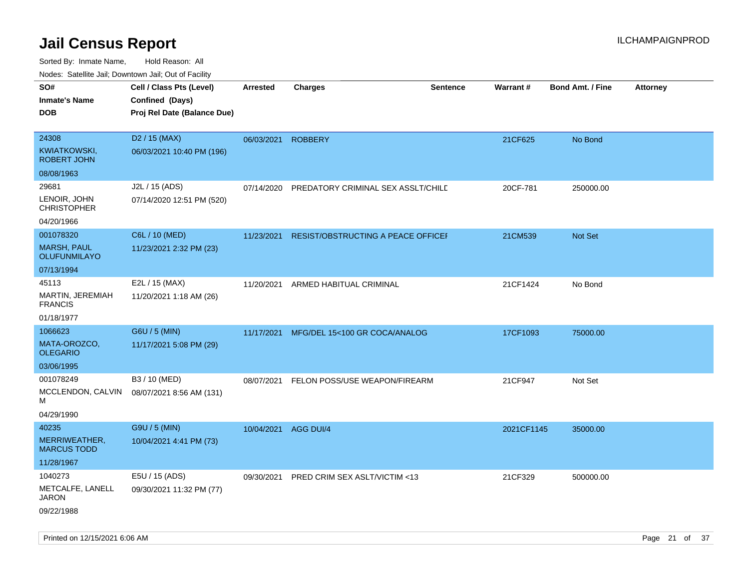| roaco. Catolino dall, Downtown dall, Out of Fability |                             |                      |                                    |                 |            |                         |                 |
|------------------------------------------------------|-----------------------------|----------------------|------------------------------------|-----------------|------------|-------------------------|-----------------|
| SO#                                                  | Cell / Class Pts (Level)    | <b>Arrested</b>      | <b>Charges</b>                     | <b>Sentence</b> | Warrant#   | <b>Bond Amt. / Fine</b> | <b>Attorney</b> |
| <b>Inmate's Name</b>                                 | Confined (Days)             |                      |                                    |                 |            |                         |                 |
| <b>DOB</b>                                           | Proj Rel Date (Balance Due) |                      |                                    |                 |            |                         |                 |
|                                                      |                             |                      |                                    |                 |            |                         |                 |
| 24308                                                | D <sub>2</sub> / 15 (MAX)   | 06/03/2021           | <b>ROBBERY</b>                     |                 | 21CF625    | No Bond                 |                 |
| <b>KWIATKOWSKI,</b><br><b>ROBERT JOHN</b>            | 06/03/2021 10:40 PM (196)   |                      |                                    |                 |            |                         |                 |
| 08/08/1963                                           |                             |                      |                                    |                 |            |                         |                 |
| 29681                                                | J2L / 15 (ADS)              | 07/14/2020           | PREDATORY CRIMINAL SEX ASSLT/CHILD |                 | 20CF-781   | 250000.00               |                 |
| LENOIR, JOHN<br><b>CHRISTOPHER</b>                   | 07/14/2020 12:51 PM (520)   |                      |                                    |                 |            |                         |                 |
| 04/20/1966                                           |                             |                      |                                    |                 |            |                         |                 |
| 001078320                                            | C6L / 10 (MED)              | 11/23/2021           | RESIST/OBSTRUCTING A PEACE OFFICEF |                 | 21CM539    | Not Set                 |                 |
| <b>MARSH, PAUL</b><br><b>OLUFUNMILAYO</b>            | 11/23/2021 2:32 PM (23)     |                      |                                    |                 |            |                         |                 |
| 07/13/1994                                           |                             |                      |                                    |                 |            |                         |                 |
| 45113                                                | E2L / 15 (MAX)              | 11/20/2021           | ARMED HABITUAL CRIMINAL            |                 | 21CF1424   | No Bond                 |                 |
| MARTIN, JEREMIAH<br><b>FRANCIS</b>                   | 11/20/2021 1:18 AM (26)     |                      |                                    |                 |            |                         |                 |
| 01/18/1977                                           |                             |                      |                                    |                 |            |                         |                 |
| 1066623                                              | G6U / 5 (MIN)               | 11/17/2021           | MFG/DEL 15<100 GR COCA/ANALOG      |                 | 17CF1093   | 75000.00                |                 |
| MATA-OROZCO,<br><b>OLEGARIO</b>                      | 11/17/2021 5:08 PM (29)     |                      |                                    |                 |            |                         |                 |
| 03/06/1995                                           |                             |                      |                                    |                 |            |                         |                 |
| 001078249                                            | B3 / 10 (MED)               | 08/07/2021           | FELON POSS/USE WEAPON/FIREARM      |                 | 21CF947    | Not Set                 |                 |
| MCCLENDON, CALVIN<br>м                               | 08/07/2021 8:56 AM (131)    |                      |                                    |                 |            |                         |                 |
| 04/29/1990                                           |                             |                      |                                    |                 |            |                         |                 |
| 40235                                                | G9U / 5 (MIN)               | 10/04/2021 AGG DUI/4 |                                    |                 | 2021CF1145 | 35000.00                |                 |
| MERRIWEATHER,<br><b>MARCUS TODD</b>                  | 10/04/2021 4:41 PM (73)     |                      |                                    |                 |            |                         |                 |
| 11/28/1967                                           |                             |                      |                                    |                 |            |                         |                 |
| 1040273                                              | E5U / 15 (ADS)              | 09/30/2021           | PRED CRIM SEX ASLT/VICTIM <13      |                 | 21CF329    | 500000.00               |                 |
| METCALFE, LANELL<br>JARON                            | 09/30/2021 11:32 PM (77)    |                      |                                    |                 |            |                         |                 |
| 09/22/1988                                           |                             |                      |                                    |                 |            |                         |                 |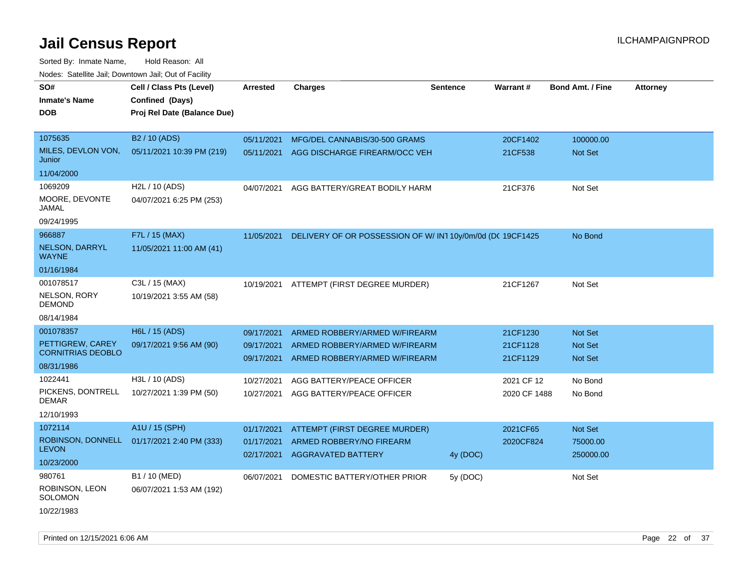Sorted By: Inmate Name, Hold Reason: All Nodes: Satellite Jail; Downtown Jail; Out of Facility

| Noues. Sateme Jan, Downtown Jan, Out or Facility |                             |                          |                                                                |                 |                      |                           |                 |
|--------------------------------------------------|-----------------------------|--------------------------|----------------------------------------------------------------|-----------------|----------------------|---------------------------|-----------------|
| SO#                                              | Cell / Class Pts (Level)    | Arrested                 | <b>Charges</b>                                                 | <b>Sentence</b> | Warrant#             | <b>Bond Amt. / Fine</b>   | <b>Attorney</b> |
| <b>Inmate's Name</b>                             | Confined (Days)             |                          |                                                                |                 |                      |                           |                 |
| <b>DOB</b>                                       | Proj Rel Date (Balance Due) |                          |                                                                |                 |                      |                           |                 |
|                                                  |                             |                          |                                                                |                 |                      |                           |                 |
| 1075635                                          | B <sub>2</sub> / 10 (ADS)   | 05/11/2021               | MFG/DEL CANNABIS/30-500 GRAMS                                  |                 | 20CF1402             | 100000.00                 |                 |
| MILES, DEVLON VON,<br>Junior                     | 05/11/2021 10:39 PM (219)   | 05/11/2021               | AGG DISCHARGE FIREARM/OCC VEH                                  |                 | 21CF538              | Not Set                   |                 |
| 11/04/2000                                       |                             |                          |                                                                |                 |                      |                           |                 |
| 1069209                                          | H2L / 10 (ADS)              | 04/07/2021               | AGG BATTERY/GREAT BODILY HARM                                  |                 | 21CF376              | Not Set                   |                 |
| MOORE, DEVONTE<br>JAMAL                          | 04/07/2021 6:25 PM (253)    |                          |                                                                |                 |                      |                           |                 |
| 09/24/1995                                       |                             |                          |                                                                |                 |                      |                           |                 |
| 966887                                           | F7L / 15 (MAX)              | 11/05/2021               | DELIVERY OF OR POSSESSION OF W/ IN1 10y/0m/0d (DC 19CF1425     |                 |                      | No Bond                   |                 |
| <b>NELSON, DARRYL</b><br><b>WAYNE</b>            | 11/05/2021 11:00 AM (41)    |                          |                                                                |                 |                      |                           |                 |
| 01/16/1984                                       |                             |                          |                                                                |                 |                      |                           |                 |
| 001078517                                        | C3L / 15 (MAX)              | 10/19/2021               | ATTEMPT (FIRST DEGREE MURDER)                                  |                 | 21CF1267             | Not Set                   |                 |
| <b>NELSON, RORY</b><br>DEMOND                    | 10/19/2021 3:55 AM (58)     |                          |                                                                |                 |                      |                           |                 |
| 08/14/1984                                       |                             |                          |                                                                |                 |                      |                           |                 |
| 001078357                                        | H6L / 15 (ADS)              | 09/17/2021               | ARMED ROBBERY/ARMED W/FIREARM                                  |                 | 21CF1230             | <b>Not Set</b>            |                 |
| PETTIGREW, CAREY<br><b>CORNITRIAS DEOBLO</b>     | 09/17/2021 9:56 AM (90)     | 09/17/2021<br>09/17/2021 | ARMED ROBBERY/ARMED W/FIREARM<br>ARMED ROBBERY/ARMED W/FIREARM |                 | 21CF1128<br>21CF1129 | <b>Not Set</b><br>Not Set |                 |
| 08/31/1986                                       |                             |                          |                                                                |                 |                      |                           |                 |
| 1022441                                          | H3L / 10 (ADS)              | 10/27/2021               | AGG BATTERY/PEACE OFFICER                                      |                 | 2021 CF 12           | No Bond                   |                 |
| PICKENS, DONTRELL<br>DEMAR                       | 10/27/2021 1:39 PM (50)     | 10/27/2021               | AGG BATTERY/PEACE OFFICER                                      |                 | 2020 CF 1488         | No Bond                   |                 |
| 12/10/1993                                       |                             |                          |                                                                |                 |                      |                           |                 |
| 1072114                                          | A1U / 15 (SPH)              | 01/17/2021               | ATTEMPT (FIRST DEGREE MURDER)                                  |                 | 2021CF65             | Not Set                   |                 |
| ROBINSON, DONNELL                                | 01/17/2021 2:40 PM (333)    | 01/17/2021               | ARMED ROBBERY/NO FIREARM                                       |                 | 2020CF824            | 75000.00                  |                 |
| <b>LEVON</b>                                     |                             | 02/17/2021               | <b>AGGRAVATED BATTERY</b>                                      | 4y (DOC)        |                      | 250000.00                 |                 |
| 10/23/2000                                       |                             |                          |                                                                |                 |                      |                           |                 |
| 980761                                           | B1 / 10 (MED)               | 06/07/2021               | DOMESTIC BATTERY/OTHER PRIOR                                   | 5y (DOC)        |                      | Not Set                   |                 |
| ROBINSON, LEON<br>SOLOMON                        | 06/07/2021 1:53 AM (192)    |                          |                                                                |                 |                      |                           |                 |
| 10/22/1983                                       |                             |                          |                                                                |                 |                      |                           |                 |

Printed on 12/15/2021 6:06 AM Page 22 of 37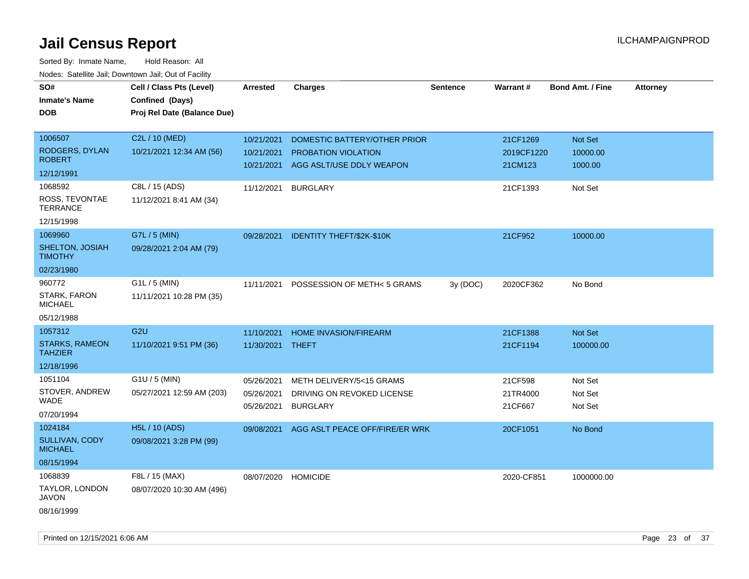| SO#<br><b>Inmate's Name</b>             | Cell / Class Pts (Level)<br>Confined (Days) | <b>Arrested</b>  | <b>Charges</b>                 | <b>Sentence</b> | Warrant#   | <b>Bond Amt. / Fine</b> | <b>Attorney</b> |
|-----------------------------------------|---------------------------------------------|------------------|--------------------------------|-----------------|------------|-------------------------|-----------------|
| <b>DOB</b>                              | Proj Rel Date (Balance Due)                 |                  |                                |                 |            |                         |                 |
|                                         |                                             |                  |                                |                 |            |                         |                 |
| 1006507                                 | C2L / 10 (MED)                              | 10/21/2021       | DOMESTIC BATTERY/OTHER PRIOR   |                 | 21CF1269   | Not Set                 |                 |
| <b>RODGERS, DYLAN</b>                   | 10/21/2021 12:34 AM (56)                    | 10/21/2021       | PROBATION VIOLATION            |                 | 2019CF1220 | 10000.00                |                 |
| <b>ROBERT</b>                           |                                             | 10/21/2021       | AGG ASLT/USE DDLY WEAPON       |                 | 21CM123    | 1000.00                 |                 |
| 12/12/1991                              |                                             |                  |                                |                 |            |                         |                 |
| 1068592                                 | C8L / 15 (ADS)                              | 11/12/2021       | <b>BURGLARY</b>                |                 | 21CF1393   | Not Set                 |                 |
| ROSS, TEVONTAE<br><b>TERRANCE</b>       | 11/12/2021 8:41 AM (34)                     |                  |                                |                 |            |                         |                 |
| 12/15/1998                              |                                             |                  |                                |                 |            |                         |                 |
| 1069960                                 | G7L / 5 (MIN)                               | 09/28/2021       | IDENTITY THEFT/\$2K-\$10K      |                 | 21CF952    | 10000.00                |                 |
| SHELTON, JOSIAH<br><b>TIMOTHY</b>       | 09/28/2021 2:04 AM (79)                     |                  |                                |                 |            |                         |                 |
| 02/23/1980                              |                                             |                  |                                |                 |            |                         |                 |
| 960772                                  | G1L / 5 (MIN)                               | 11/11/2021       | POSSESSION OF METH<5 GRAMS     | 3y (DOC)        | 2020CF362  | No Bond                 |                 |
| STARK, FARON<br><b>MICHAEL</b>          | 11/11/2021 10:28 PM (35)                    |                  |                                |                 |            |                         |                 |
| 05/12/1988                              |                                             |                  |                                |                 |            |                         |                 |
| 1057312                                 | G <sub>2U</sub>                             | 11/10/2021       | HOME INVASION/FIREARM          |                 | 21CF1388   | Not Set                 |                 |
| <b>STARKS, RAMEON</b><br><b>TAHZIER</b> | 11/10/2021 9:51 PM (36)                     | 11/30/2021 THEFT |                                |                 | 21CF1194   | 100000.00               |                 |
| 12/18/1996                              |                                             |                  |                                |                 |            |                         |                 |
| 1051104                                 | G1U / 5 (MIN)                               | 05/26/2021       | METH DELIVERY/5<15 GRAMS       |                 | 21CF598    | Not Set                 |                 |
| STOVER, ANDREW                          | 05/27/2021 12:59 AM (203)                   | 05/26/2021       | DRIVING ON REVOKED LICENSE     |                 | 21TR4000   | Not Set                 |                 |
| WADE                                    |                                             | 05/26/2021       | <b>BURGLARY</b>                |                 | 21CF667    | Not Set                 |                 |
| 07/20/1994                              |                                             |                  |                                |                 |            |                         |                 |
| 1024184                                 | H5L / 10 (ADS)                              | 09/08/2021       | AGG ASLT PEACE OFF/FIRE/ER WRK |                 | 20CF1051   | No Bond                 |                 |
| SULLIVAN, CODY<br><b>MICHAEL</b>        | 09/08/2021 3:28 PM (99)                     |                  |                                |                 |            |                         |                 |
| 08/15/1994                              |                                             |                  |                                |                 |            |                         |                 |
| 1068839                                 | F8L / 15 (MAX)                              | 08/07/2020       | <b>HOMICIDE</b>                |                 | 2020-CF851 | 1000000.00              |                 |
| TAYLOR, LONDON<br>JAVON                 | 08/07/2020 10:30 AM (496)                   |                  |                                |                 |            |                         |                 |
| 08/16/1999                              |                                             |                  |                                |                 |            |                         |                 |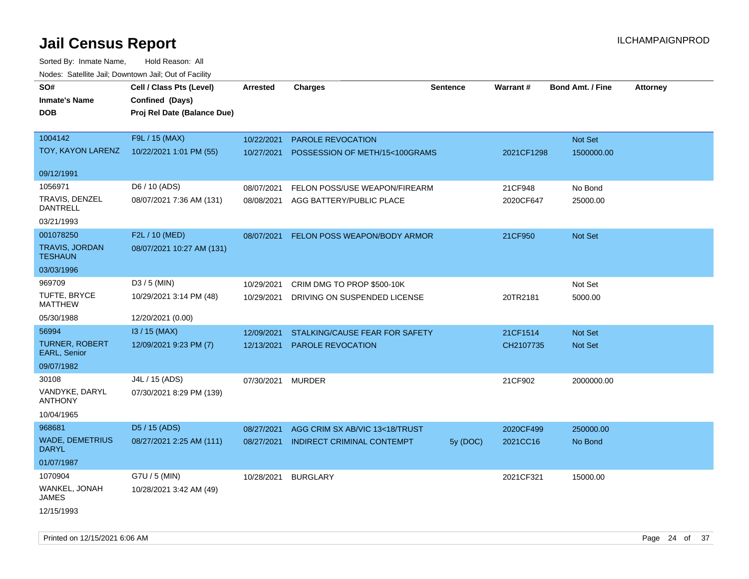| SO#                                     | Cell / Class Pts (Level)    | Arrested   | <b>Charges</b>                 | Sentence | Warrant#   | <b>Bond Amt. / Fine</b> | <b>Attorney</b> |
|-----------------------------------------|-----------------------------|------------|--------------------------------|----------|------------|-------------------------|-----------------|
| <b>Inmate's Name</b>                    | Confined (Days)             |            |                                |          |            |                         |                 |
| <b>DOB</b>                              | Proj Rel Date (Balance Due) |            |                                |          |            |                         |                 |
|                                         |                             |            |                                |          |            |                         |                 |
| 1004142                                 | F9L / 15 (MAX)              | 10/22/2021 | <b>PAROLE REVOCATION</b>       |          |            | Not Set                 |                 |
| TOY, KAYON LARENZ                       | 10/22/2021 1:01 PM (55)     | 10/27/2021 | POSSESSION OF METH/15<100GRAMS |          | 2021CF1298 | 1500000.00              |                 |
| 09/12/1991                              |                             |            |                                |          |            |                         |                 |
| 1056971                                 | D6 / 10 (ADS)               | 08/07/2021 | FELON POSS/USE WEAPON/FIREARM  |          | 21CF948    | No Bond                 |                 |
| TRAVIS, DENZEL<br><b>DANTRELL</b>       | 08/07/2021 7:36 AM (131)    | 08/08/2021 | AGG BATTERY/PUBLIC PLACE       |          | 2020CF647  | 25000.00                |                 |
| 03/21/1993                              |                             |            |                                |          |            |                         |                 |
| 001078250                               | F2L / 10 (MED)              | 08/07/2021 | FELON POSS WEAPON/BODY ARMOR   |          | 21CF950    | Not Set                 |                 |
| <b>TRAVIS, JORDAN</b><br><b>TESHAUN</b> | 08/07/2021 10:27 AM (131)   |            |                                |          |            |                         |                 |
| 03/03/1996                              |                             |            |                                |          |            |                         |                 |
| 969709                                  | D3 / 5 (MIN)                | 10/29/2021 | CRIM DMG TO PROP \$500-10K     |          |            | Not Set                 |                 |
| TUFTE, BRYCE<br><b>MATTHEW</b>          | 10/29/2021 3:14 PM (48)     | 10/29/2021 | DRIVING ON SUSPENDED LICENSE   |          | 20TR2181   | 5000.00                 |                 |
| 05/30/1988                              | 12/20/2021 (0.00)           |            |                                |          |            |                         |                 |
| 56994                                   | I3 / 15 (MAX)               | 12/09/2021 | STALKING/CAUSE FEAR FOR SAFETY |          | 21CF1514   | Not Set                 |                 |
| <b>TURNER, ROBERT</b><br>EARL, Senior   | 12/09/2021 9:23 PM (7)      | 12/13/2021 | PAROLE REVOCATION              |          | CH2107735  | Not Set                 |                 |
| 09/07/1982                              |                             |            |                                |          |            |                         |                 |
| 30108                                   | J4L / 15 (ADS)              | 07/30/2021 | <b>MURDER</b>                  |          | 21CF902    | 2000000.00              |                 |
| VANDYKE, DARYL<br><b>ANTHONY</b>        | 07/30/2021 8:29 PM (139)    |            |                                |          |            |                         |                 |
| 10/04/1965                              |                             |            |                                |          |            |                         |                 |
| 968681                                  | D5 / 15 (ADS)               | 08/27/2021 | AGG CRIM SX AB/VIC 13<18/TRUST |          | 2020CF499  | 250000.00               |                 |
| <b>WADE, DEMETRIUS</b><br><b>DARYL</b>  | 08/27/2021 2:25 AM (111)    | 08/27/2021 | INDIRECT CRIMINAL CONTEMPT     | 5y (DOC) | 2021CC16   | No Bond                 |                 |
| 01/07/1987                              |                             |            |                                |          |            |                         |                 |
| 1070904                                 | G7U / 5 (MIN)               | 10/28/2021 | <b>BURGLARY</b>                |          | 2021CF321  | 15000.00                |                 |
| WANKEL, JONAH<br>JAMES                  | 10/28/2021 3:42 AM (49)     |            |                                |          |            |                         |                 |
| 12/15/1993                              |                             |            |                                |          |            |                         |                 |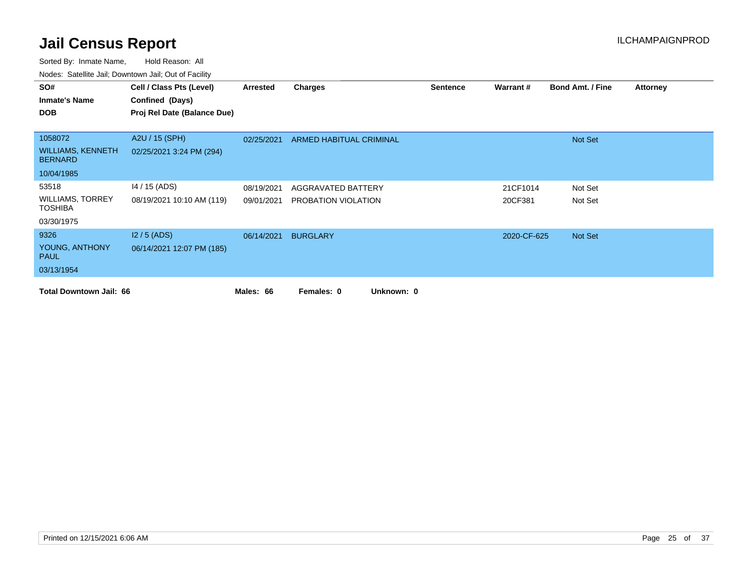| SO#                                        | Cell / Class Pts (Level)    | Arrested   | Charges                  | <b>Sentence</b> | Warrant#    | <b>Bond Amt. / Fine</b> | <b>Attorney</b> |
|--------------------------------------------|-----------------------------|------------|--------------------------|-----------------|-------------|-------------------------|-----------------|
| <b>Inmate's Name</b>                       | Confined (Days)             |            |                          |                 |             |                         |                 |
| <b>DOB</b>                                 | Proj Rel Date (Balance Due) |            |                          |                 |             |                         |                 |
|                                            |                             |            |                          |                 |             |                         |                 |
| 1058072                                    | A2U / 15 (SPH)              | 02/25/2021 | ARMED HABITUAL CRIMINAL  |                 |             | Not Set                 |                 |
| <b>WILLIAMS, KENNETH</b><br><b>BERNARD</b> | 02/25/2021 3:24 PM (294)    |            |                          |                 |             |                         |                 |
| 10/04/1985                                 |                             |            |                          |                 |             |                         |                 |
| 53518                                      | 14 / 15 (ADS)               | 08/19/2021 | AGGRAVATED BATTERY       |                 | 21CF1014    | Not Set                 |                 |
| <b>WILLIAMS, TORREY</b><br><b>TOSHIBA</b>  | 08/19/2021 10:10 AM (119)   | 09/01/2021 | PROBATION VIOLATION      |                 | 20CF381     | Not Set                 |                 |
| 03/30/1975                                 |                             |            |                          |                 |             |                         |                 |
| 9326                                       | $12/5$ (ADS)                | 06/14/2021 | <b>BURGLARY</b>          |                 | 2020-CF-625 | Not Set                 |                 |
| YOUNG, ANTHONY<br><b>PAUL</b>              | 06/14/2021 12:07 PM (185)   |            |                          |                 |             |                         |                 |
| 03/13/1954                                 |                             |            |                          |                 |             |                         |                 |
| <b>Total Downtown Jail: 66</b>             |                             | Males: 66  | Unknown: 0<br>Females: 0 |                 |             |                         |                 |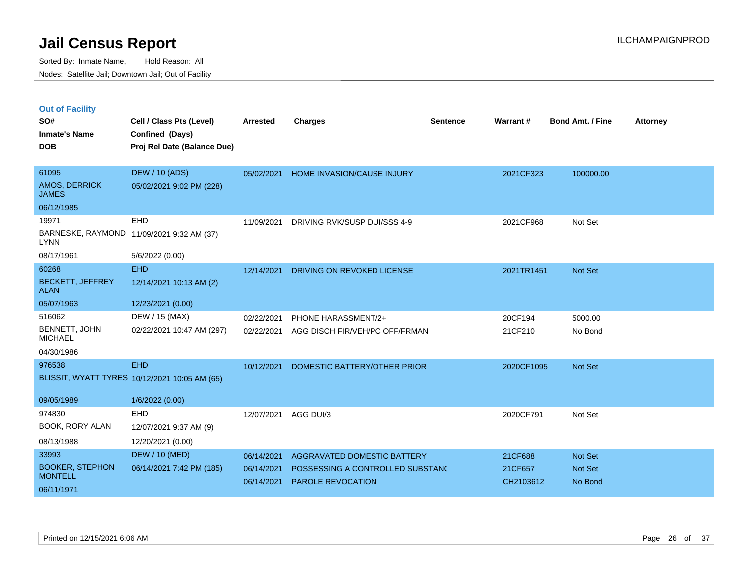|  | <b>Out of Facility</b> |  |
|--|------------------------|--|

| SO#<br><b>Inmate's Name</b><br><b>DOB</b>       | Cell / Class Pts (Level)<br>Confined (Days)<br>Proj Rel Date (Balance Due) | <b>Arrested</b>          | <b>Charges</b>                                        | <b>Sentence</b> | Warrant#             | <b>Bond Amt. / Fine</b> | <b>Attorney</b> |
|-------------------------------------------------|----------------------------------------------------------------------------|--------------------------|-------------------------------------------------------|-----------------|----------------------|-------------------------|-----------------|
| 61095<br>AMOS, DERRICK<br><b>JAMES</b>          | <b>DEW / 10 (ADS)</b><br>05/02/2021 9:02 PM (228)                          | 05/02/2021               | <b>HOME INVASION/CAUSE INJURY</b>                     |                 | 2021CF323            | 100000.00               |                 |
| 06/12/1985                                      |                                                                            |                          |                                                       |                 |                      |                         |                 |
| 19971<br><b>LYNN</b>                            | EHD<br>BARNESKE, RAYMOND 11/09/2021 9:32 AM (37)                           | 11/09/2021               | DRIVING RVK/SUSP DUI/SSS 4-9                          |                 | 2021CF968            | Not Set                 |                 |
| 08/17/1961                                      | 5/6/2022 (0.00)                                                            |                          |                                                       |                 |                      |                         |                 |
| 60268<br><b>BECKETT, JEFFREY</b><br><b>ALAN</b> | <b>EHD</b><br>12/14/2021 10:13 AM (2)                                      | 12/14/2021               | DRIVING ON REVOKED LICENSE                            |                 | 2021TR1451           | <b>Not Set</b>          |                 |
| 05/07/1963                                      | 12/23/2021 (0.00)                                                          |                          |                                                       |                 |                      |                         |                 |
| 516062                                          | DEW / 15 (MAX)                                                             | 02/22/2021               | PHONE HARASSMENT/2+                                   |                 | 20CF194              | 5000.00                 |                 |
| BENNETT, JOHN<br><b>MICHAEL</b>                 | 02/22/2021 10:47 AM (297)                                                  | 02/22/2021               | AGG DISCH FIR/VEH/PC OFF/FRMAN                        |                 | 21CF210              | No Bond                 |                 |
| 04/30/1986                                      |                                                                            |                          |                                                       |                 |                      |                         |                 |
| 976538                                          | <b>EHD</b><br>BLISSIT, WYATT TYRES 10/12/2021 10:05 AM (65)                | 10/12/2021               | DOMESTIC BATTERY/OTHER PRIOR                          |                 | 2020CF1095           | <b>Not Set</b>          |                 |
| 09/05/1989                                      | 1/6/2022 (0.00)                                                            |                          |                                                       |                 |                      |                         |                 |
| 974830<br>BOOK, RORY ALAN                       | <b>EHD</b><br>12/07/2021 9:37 AM (9)                                       | 12/07/2021               | AGG DUI/3                                             |                 | 2020CF791            | Not Set                 |                 |
| 08/13/1988                                      | 12/20/2021 (0.00)                                                          |                          |                                                       |                 |                      |                         |                 |
| 33993                                           | <b>DEW / 10 (MED)</b>                                                      | 06/14/2021               | AGGRAVATED DOMESTIC BATTERY                           |                 | 21CF688              | Not Set                 |                 |
| <b>BOOKER, STEPHON</b><br><b>MONTELL</b>        | 06/14/2021 7:42 PM (185)                                                   | 06/14/2021<br>06/14/2021 | POSSESSING A CONTROLLED SUBSTANC<br>PAROLE REVOCATION |                 | 21CF657<br>CH2103612 | Not Set<br>No Bond      |                 |
| 06/11/1971                                      |                                                                            |                          |                                                       |                 |                      |                         |                 |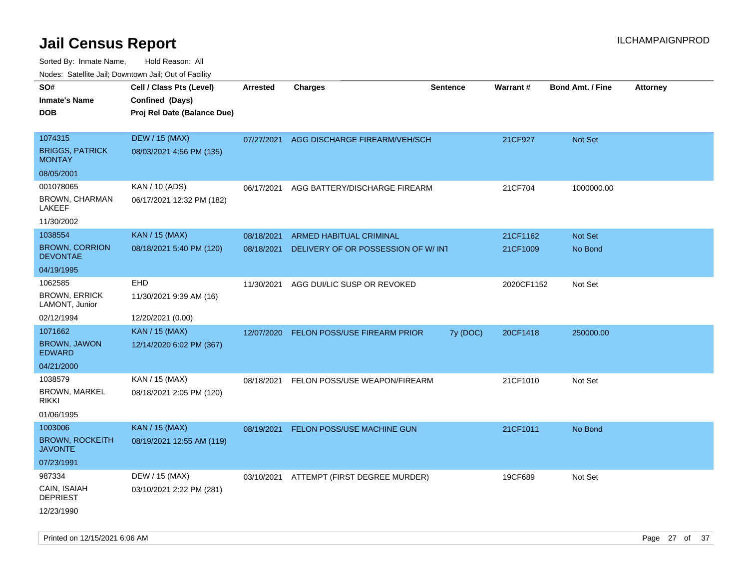| ivouss. Saleling Jali, Downtown Jali, Out of Facility |                                                    |                 |                                     |                 |                 |                         |                 |
|-------------------------------------------------------|----------------------------------------------------|-----------------|-------------------------------------|-----------------|-----------------|-------------------------|-----------------|
| SO#<br><b>Inmate's Name</b>                           | Cell / Class Pts (Level)<br>Confined (Days)        | <b>Arrested</b> | <b>Charges</b>                      | <b>Sentence</b> | <b>Warrant#</b> | <b>Bond Amt. / Fine</b> | <b>Attorney</b> |
| <b>DOB</b>                                            | Proj Rel Date (Balance Due)                        |                 |                                     |                 |                 |                         |                 |
| 1074315<br><b>BRIGGS, PATRICK</b>                     | <b>DEW / 15 (MAX)</b><br>08/03/2021 4:56 PM (135)  | 07/27/2021      | AGG DISCHARGE FIREARM/VEH/SCH       |                 | 21CF927         | Not Set                 |                 |
| <b>MONTAY</b>                                         |                                                    |                 |                                     |                 |                 |                         |                 |
| 08/05/2001                                            |                                                    |                 |                                     |                 |                 |                         |                 |
| 001078065<br><b>BROWN, CHARMAN</b><br>LAKEEF          | KAN / 10 (ADS)<br>06/17/2021 12:32 PM (182)        | 06/17/2021      | AGG BATTERY/DISCHARGE FIREARM       |                 | 21CF704         | 1000000.00              |                 |
| 11/30/2002                                            |                                                    |                 |                                     |                 |                 |                         |                 |
| 1038554                                               | <b>KAN / 15 (MAX)</b>                              | 08/18/2021      | <b>ARMED HABITUAL CRIMINAL</b>      |                 | 21CF1162        | <b>Not Set</b>          |                 |
| <b>BROWN, CORRION</b><br><b>DEVONTAE</b>              | 08/18/2021 5:40 PM (120)                           | 08/18/2021      | DELIVERY OF OR POSSESSION OF W/INT  |                 | 21CF1009        | No Bond                 |                 |
| 04/19/1995                                            |                                                    |                 |                                     |                 |                 |                         |                 |
| 1062585<br><b>BROWN, ERRICK</b><br>LAMONT, Junior     | EHD<br>11/30/2021 9:39 AM (16)                     | 11/30/2021      | AGG DUI/LIC SUSP OR REVOKED         |                 | 2020CF1152      | Not Set                 |                 |
| 02/12/1994                                            | 12/20/2021 (0.00)                                  |                 |                                     |                 |                 |                         |                 |
| 1071662                                               | <b>KAN / 15 (MAX)</b>                              | 12/07/2020      | <b>FELON POSS/USE FIREARM PRIOR</b> | 7y (DOC)        | 20CF1418        | 250000.00               |                 |
| <b>BROWN, JAWON</b><br><b>EDWARD</b>                  | 12/14/2020 6:02 PM (367)                           |                 |                                     |                 |                 |                         |                 |
| 04/21/2000                                            |                                                    |                 |                                     |                 |                 |                         |                 |
| 1038579<br><b>BROWN, MARKEL</b><br>RIKKI              | KAN / 15 (MAX)<br>08/18/2021 2:05 PM (120)         | 08/18/2021      | FELON POSS/USE WEAPON/FIREARM       |                 | 21CF1010        | Not Set                 |                 |
| 01/06/1995                                            |                                                    |                 |                                     |                 |                 |                         |                 |
| 1003006<br><b>BROWN, ROCKEITH</b><br><b>JAVONTE</b>   | <b>KAN / 15 (MAX)</b><br>08/19/2021 12:55 AM (119) | 08/19/2021      | FELON POSS/USE MACHINE GUN          |                 | 21CF1011        | No Bond                 |                 |
| 07/23/1991                                            |                                                    |                 |                                     |                 |                 |                         |                 |
| 987334                                                | DEW / 15 (MAX)                                     | 03/10/2021      | ATTEMPT (FIRST DEGREE MURDER)       |                 | 19CF689         | Not Set                 |                 |
| CAIN, ISAIAH<br><b>DEPRIEST</b>                       | 03/10/2021 2:22 PM (281)                           |                 |                                     |                 |                 |                         |                 |
| 12/23/1990                                            |                                                    |                 |                                     |                 |                 |                         |                 |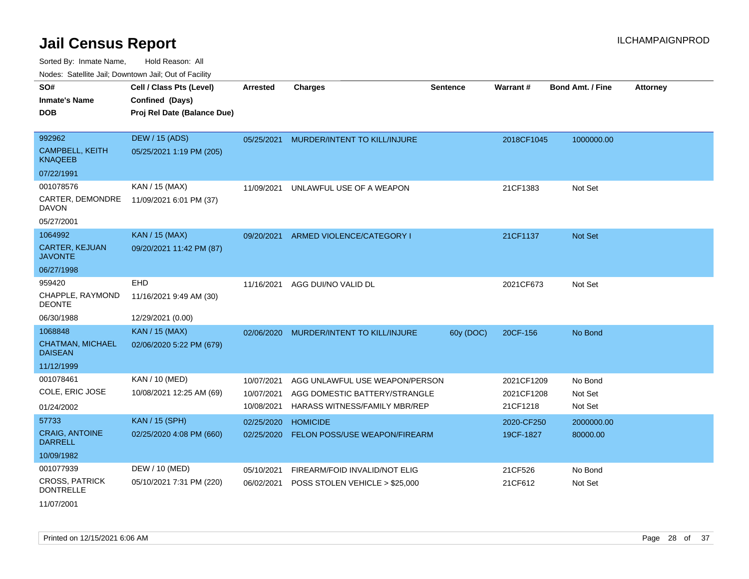Sorted By: Inmate Name, Hold Reason: All

Nodes: Satellite Jail; Downtown Jail; Out of Facility

| SO#<br><b>Inmate's Name</b><br><b>DOB</b>                 | Cell / Class Pts (Level)<br>Confined (Days)<br>Proj Rel Date (Balance Due) | <b>Arrested</b>                        | <b>Charges</b>                                                                                   | <b>Sentence</b> | Warrant#                             | <b>Bond Amt. / Fine</b>       | <b>Attorney</b> |
|-----------------------------------------------------------|----------------------------------------------------------------------------|----------------------------------------|--------------------------------------------------------------------------------------------------|-----------------|--------------------------------------|-------------------------------|-----------------|
| 992962<br><b>CAMPBELL, KEITH</b><br><b>KNAQEEB</b>        | <b>DEW / 15 (ADS)</b><br>05/25/2021 1:19 PM (205)                          | 05/25/2021                             | MURDER/INTENT TO KILL/INJURE                                                                     |                 | 2018CF1045                           | 1000000.00                    |                 |
| 07/22/1991                                                |                                                                            |                                        |                                                                                                  |                 |                                      |                               |                 |
| 001078576<br>CARTER, DEMONDRE<br><b>DAVON</b>             | KAN / 15 (MAX)<br>11/09/2021 6:01 PM (37)                                  | 11/09/2021                             | UNLAWFUL USE OF A WEAPON                                                                         |                 | 21CF1383                             | Not Set                       |                 |
| 05/27/2001                                                |                                                                            |                                        |                                                                                                  |                 |                                      |                               |                 |
| 1064992<br><b>CARTER, KEJUAN</b><br><b>JAVONTE</b>        | <b>KAN / 15 (MAX)</b><br>09/20/2021 11:42 PM (87)                          | 09/20/2021                             | ARMED VIOLENCE/CATEGORY I                                                                        |                 | 21CF1137                             | <b>Not Set</b>                |                 |
| 06/27/1998                                                |                                                                            |                                        |                                                                                                  |                 |                                      |                               |                 |
| 959420<br>CHAPPLE, RAYMOND<br><b>DEONTE</b><br>06/30/1988 | <b>EHD</b><br>11/16/2021 9:49 AM (30)<br>12/29/2021 (0.00)                 | 11/16/2021                             | AGG DUI/NO VALID DL                                                                              |                 | 2021CF673                            | Not Set                       |                 |
| 1068848                                                   | <b>KAN / 15 (MAX)</b>                                                      | 02/06/2020                             | MURDER/INTENT TO KILL/INJURE                                                                     | 60y (DOC)       | 20CF-156                             | No Bond                       |                 |
| <b>CHATMAN, MICHAEL</b><br><b>DAISEAN</b>                 | 02/06/2020 5:22 PM (679)                                                   |                                        |                                                                                                  |                 |                                      |                               |                 |
| 11/12/1999                                                |                                                                            |                                        |                                                                                                  |                 |                                      |                               |                 |
| 001078461<br>COLE, ERIC JOSE<br>01/24/2002                | KAN / 10 (MED)<br>10/08/2021 12:25 AM (69)                                 | 10/07/2021<br>10/07/2021<br>10/08/2021 | AGG UNLAWFUL USE WEAPON/PERSON<br>AGG DOMESTIC BATTERY/STRANGLE<br>HARASS WITNESS/FAMILY MBR/REP |                 | 2021CF1209<br>2021CF1208<br>21CF1218 | No Bond<br>Not Set<br>Not Set |                 |
| 57733                                                     | <b>KAN / 15 (SPH)</b>                                                      | 02/25/2020                             | <b>HOMICIDE</b>                                                                                  |                 | 2020-CF250                           | 2000000.00                    |                 |
| <b>CRAIG, ANTOINE</b><br><b>DARRELL</b>                   | 02/25/2020 4:08 PM (660)                                                   | 02/25/2020                             | FELON POSS/USE WEAPON/FIREARM                                                                    |                 | 19CF-1827                            | 80000.00                      |                 |
| 10/09/1982                                                |                                                                            |                                        |                                                                                                  |                 |                                      |                               |                 |
| 001077939<br><b>CROSS, PATRICK</b><br><b>DONTRELLE</b>    | DEW / 10 (MED)<br>05/10/2021 7:31 PM (220)                                 | 05/10/2021<br>06/02/2021               | FIREARM/FOID INVALID/NOT ELIG<br>POSS STOLEN VEHICLE > \$25,000                                  |                 | 21CF526<br>21CF612                   | No Bond<br>Not Set            |                 |

11/07/2001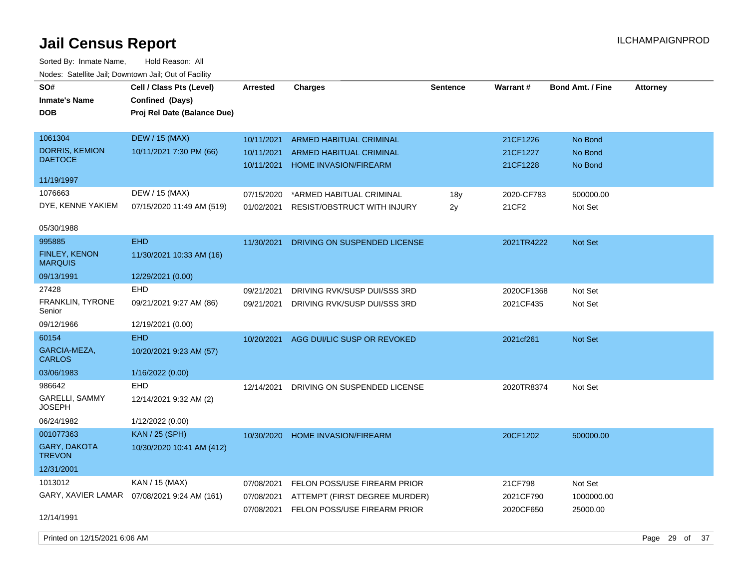| roaco. Calcinio dan, Downtown dan, Cal or Fability |                                                    |            |                                |                 |                 |                         |                 |
|----------------------------------------------------|----------------------------------------------------|------------|--------------------------------|-----------------|-----------------|-------------------------|-----------------|
| SO#<br><b>Inmate's Name</b>                        | Cell / Class Pts (Level)<br><b>Confined (Days)</b> | Arrested   | <b>Charges</b>                 | <b>Sentence</b> | <b>Warrant#</b> | <b>Bond Amt. / Fine</b> | <b>Attorney</b> |
| <b>DOB</b>                                         | Proj Rel Date (Balance Due)                        |            |                                |                 |                 |                         |                 |
| 1061304                                            | <b>DEW / 15 (MAX)</b>                              | 10/11/2021 | <b>ARMED HABITUAL CRIMINAL</b> |                 | 21CF1226        | No Bond                 |                 |
| <b>DORRIS, KEMION</b>                              | 10/11/2021 7:30 PM (66)                            | 10/11/2021 | <b>ARMED HABITUAL CRIMINAL</b> |                 | 21CF1227        | No Bond                 |                 |
| <b>DAETOCE</b>                                     |                                                    | 10/11/2021 | HOME INVASION/FIREARM          |                 | 21CF1228        | No Bond                 |                 |
| 11/19/1997                                         |                                                    |            |                                |                 |                 |                         |                 |
| 1076663                                            | DEW / 15 (MAX)                                     | 07/15/2020 | *ARMED HABITUAL CRIMINAL       | 18y             | 2020-CF783      | 500000.00               |                 |
| DYE, KENNE YAKIEM                                  | 07/15/2020 11:49 AM (519)                          | 01/02/2021 | RESIST/OBSTRUCT WITH INJURY    | 2y              | 21CF2           | Not Set                 |                 |
| 05/30/1988                                         |                                                    |            |                                |                 |                 |                         |                 |
| 995885                                             | <b>EHD</b>                                         | 11/30/2021 | DRIVING ON SUSPENDED LICENSE   |                 | 2021TR4222      | Not Set                 |                 |
| FINLEY, KENON<br><b>MARQUIS</b>                    | 11/30/2021 10:33 AM (16)                           |            |                                |                 |                 |                         |                 |
| 09/13/1991                                         | 12/29/2021 (0.00)                                  |            |                                |                 |                 |                         |                 |
| 27428                                              | EHD                                                | 09/21/2021 | DRIVING RVK/SUSP DUI/SSS 3RD   |                 | 2020CF1368      | Not Set                 |                 |
| <b>FRANKLIN, TYRONE</b><br>Senior                  | 09/21/2021 9:27 AM (86)                            | 09/21/2021 | DRIVING RVK/SUSP DUI/SSS 3RD   |                 | 2021CF435       | Not Set                 |                 |
| 09/12/1966                                         | 12/19/2021 (0.00)                                  |            |                                |                 |                 |                         |                 |
| 60154                                              | <b>EHD</b>                                         | 10/20/2021 | AGG DUI/LIC SUSP OR REVOKED    |                 | 2021cf261       | Not Set                 |                 |
| GARCIA-MEZA,<br><b>CARLOS</b>                      | 10/20/2021 9:23 AM (57)                            |            |                                |                 |                 |                         |                 |
| 03/06/1983                                         | 1/16/2022 (0.00)                                   |            |                                |                 |                 |                         |                 |
| 986642                                             | <b>EHD</b>                                         | 12/14/2021 | DRIVING ON SUSPENDED LICENSE   |                 | 2020TR8374      | Not Set                 |                 |
| <b>GARELLI, SAMMY</b><br><b>JOSEPH</b>             | 12/14/2021 9:32 AM (2)                             |            |                                |                 |                 |                         |                 |
| 06/24/1982                                         | 1/12/2022 (0.00)                                   |            |                                |                 |                 |                         |                 |
| 001077363                                          | <b>KAN</b> / 25 (SPH)                              | 10/30/2020 | HOME INVASION/FIREARM          |                 | 20CF1202        | 500000.00               |                 |
| GARY, DAKOTA<br><b>TREVON</b>                      | 10/30/2020 10:41 AM (412)                          |            |                                |                 |                 |                         |                 |
| 12/31/2001                                         |                                                    |            |                                |                 |                 |                         |                 |
| 1013012                                            | KAN / 15 (MAX)                                     | 07/08/2021 | FELON POSS/USE FIREARM PRIOR   |                 | 21CF798         | Not Set                 |                 |
|                                                    | GARY, XAVIER LAMAR  07/08/2021 9:24 AM (161)       | 07/08/2021 | ATTEMPT (FIRST DEGREE MURDER)  |                 | 2021CF790       | 1000000.00              |                 |
| 12/14/1991                                         |                                                    | 07/08/2021 | FELON POSS/USE FIREARM PRIOR   |                 | 2020CF650       | 25000.00                |                 |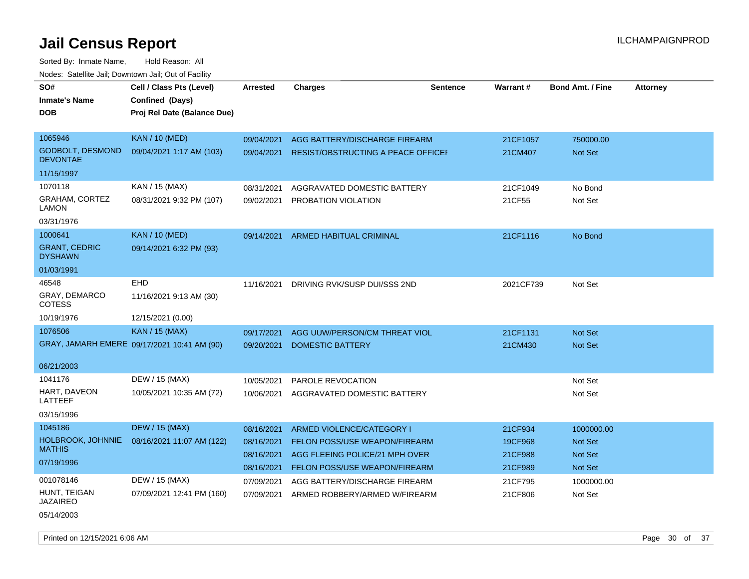| SO#                                        | Cell / Class Pts (Level)                    | Arrested   | <b>Charges</b>                            | <b>Sentence</b> | Warrant#  | <b>Bond Amt. / Fine</b> | <b>Attorney</b> |
|--------------------------------------------|---------------------------------------------|------------|-------------------------------------------|-----------------|-----------|-------------------------|-----------------|
| <b>Inmate's Name</b>                       | Confined (Days)                             |            |                                           |                 |           |                         |                 |
| <b>DOB</b>                                 | Proj Rel Date (Balance Due)                 |            |                                           |                 |           |                         |                 |
|                                            |                                             |            |                                           |                 |           |                         |                 |
| 1065946                                    | <b>KAN / 10 (MED)</b>                       | 09/04/2021 | AGG BATTERY/DISCHARGE FIREARM             |                 | 21CF1057  | 750000.00               |                 |
| <b>GODBOLT, DESMOND</b><br><b>DEVONTAE</b> | 09/04/2021 1:17 AM (103)                    | 09/04/2021 | <b>RESIST/OBSTRUCTING A PEACE OFFICEF</b> |                 | 21CM407   | Not Set                 |                 |
| 11/15/1997                                 |                                             |            |                                           |                 |           |                         |                 |
| 1070118                                    | KAN / 15 (MAX)                              | 08/31/2021 | AGGRAVATED DOMESTIC BATTERY               |                 | 21CF1049  | No Bond                 |                 |
| <b>GRAHAM, CORTEZ</b><br>LAMON             | 08/31/2021 9:32 PM (107)                    | 09/02/2021 | <b>PROBATION VIOLATION</b>                |                 | 21CF55    | Not Set                 |                 |
| 03/31/1976                                 |                                             |            |                                           |                 |           |                         |                 |
| 1000641                                    | <b>KAN / 10 (MED)</b>                       | 09/14/2021 | ARMED HABITUAL CRIMINAL                   |                 | 21CF1116  | No Bond                 |                 |
| <b>GRANT, CEDRIC</b><br><b>DYSHAWN</b>     | 09/14/2021 6:32 PM (93)                     |            |                                           |                 |           |                         |                 |
| 01/03/1991                                 |                                             |            |                                           |                 |           |                         |                 |
| 46548                                      | <b>EHD</b>                                  | 11/16/2021 | DRIVING RVK/SUSP DUI/SSS 2ND              |                 | 2021CF739 | Not Set                 |                 |
| GRAY, DEMARCO<br><b>COTESS</b>             | 11/16/2021 9:13 AM (30)                     |            |                                           |                 |           |                         |                 |
| 10/19/1976                                 | 12/15/2021 (0.00)                           |            |                                           |                 |           |                         |                 |
| 1076506                                    | <b>KAN</b> / 15 (MAX)                       | 09/17/2021 | AGG UUW/PERSON/CM THREAT VIOL             |                 | 21CF1131  | Not Set                 |                 |
|                                            | GRAY, JAMARH EMERE 09/17/2021 10:41 AM (90) | 09/20/2021 | <b>DOMESTIC BATTERY</b>                   |                 | 21CM430   | <b>Not Set</b>          |                 |
|                                            |                                             |            |                                           |                 |           |                         |                 |
| 06/21/2003                                 |                                             |            |                                           |                 |           |                         |                 |
| 1041176                                    | DEW / 15 (MAX)                              | 10/05/2021 | PAROLE REVOCATION                         |                 |           | Not Set                 |                 |
| HART, DAVEON<br>LATTEEF                    | 10/05/2021 10:35 AM (72)                    | 10/06/2021 | AGGRAVATED DOMESTIC BATTERY               |                 |           | Not Set                 |                 |
| 03/15/1996                                 |                                             |            |                                           |                 |           |                         |                 |
| 1045186                                    | <b>DEW / 15 (MAX)</b>                       | 08/16/2021 | <b>ARMED VIOLENCE/CATEGORY I</b>          |                 | 21CF934   | 1000000.00              |                 |
| HOLBROOK, JOHNNIE                          | 08/16/2021 11:07 AM (122)                   | 08/16/2021 | FELON POSS/USE WEAPON/FIREARM             |                 | 19CF968   | <b>Not Set</b>          |                 |
| <b>MATHIS</b>                              |                                             | 08/16/2021 | AGG FLEEING POLICE/21 MPH OVER            |                 | 21CF988   | Not Set                 |                 |
| 07/19/1996                                 |                                             | 08/16/2021 | FELON POSS/USE WEAPON/FIREARM             |                 | 21CF989   | Not Set                 |                 |
| 001078146                                  | DEW / 15 (MAX)                              | 07/09/2021 | AGG BATTERY/DISCHARGE FIREARM             |                 | 21CF795   | 1000000.00              |                 |
| HUNT, TEIGAN<br><b>JAZAIREO</b>            | 07/09/2021 12:41 PM (160)                   | 07/09/2021 | ARMED ROBBERY/ARMED W/FIREARM             |                 | 21CF806   | Not Set                 |                 |
| 05/14/2003                                 |                                             |            |                                           |                 |           |                         |                 |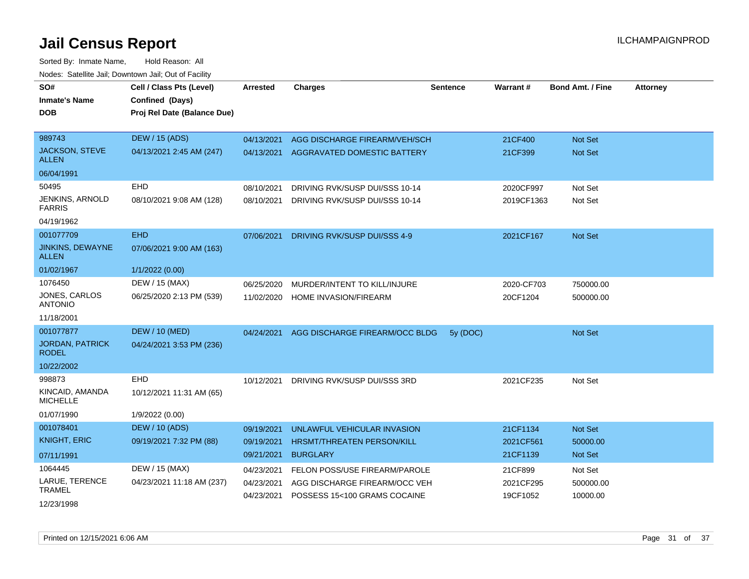| SO#<br><b>Inmate's Name</b><br>DOB      | Cell / Class Pts (Level)<br>Confined (Days)<br>Proj Rel Date (Balance Due) | <b>Arrested</b>          | <b>Charges</b>                                                | <b>Sentence</b> | Warrant#              | <b>Bond Amt. / Fine</b> | <b>Attorney</b> |
|-----------------------------------------|----------------------------------------------------------------------------|--------------------------|---------------------------------------------------------------|-----------------|-----------------------|-------------------------|-----------------|
| 989743                                  | <b>DEW / 15 (ADS)</b>                                                      | 04/13/2021               | AGG DISCHARGE FIREARM/VEH/SCH                                 |                 | 21CF400               | <b>Not Set</b>          |                 |
| JACKSON, STEVE<br><b>ALLEN</b>          | 04/13/2021 2:45 AM (247)                                                   | 04/13/2021               | AGGRAVATED DOMESTIC BATTERY                                   |                 | 21CF399               | Not Set                 |                 |
| 06/04/1991                              |                                                                            |                          |                                                               |                 |                       |                         |                 |
| 50495                                   | <b>EHD</b>                                                                 | 08/10/2021               | DRIVING RVK/SUSP DUI/SSS 10-14                                |                 | 2020CF997             | Not Set                 |                 |
| <b>JENKINS, ARNOLD</b><br><b>FARRIS</b> | 08/10/2021 9:08 AM (128)                                                   | 08/10/2021               | DRIVING RVK/SUSP DUI/SSS 10-14                                |                 | 2019CF1363            | Not Set                 |                 |
| 04/19/1962                              |                                                                            |                          |                                                               |                 |                       |                         |                 |
| 001077709                               | <b>EHD</b>                                                                 | 07/06/2021               | DRIVING RVK/SUSP DUI/SSS 4-9                                  |                 | 2021CF167             | <b>Not Set</b>          |                 |
| <b>JINKINS, DEWAYNE</b><br>ALLEN        | 07/06/2021 9:00 AM (163)                                                   |                          |                                                               |                 |                       |                         |                 |
| 01/02/1967                              | 1/1/2022 (0.00)                                                            |                          |                                                               |                 |                       |                         |                 |
| 1076450                                 | DEW / 15 (MAX)                                                             | 06/25/2020               | MURDER/INTENT TO KILL/INJURE                                  |                 | 2020-CF703            | 750000.00               |                 |
| JONES, CARLOS<br><b>ANTONIO</b>         | 06/25/2020 2:13 PM (539)                                                   | 11/02/2020               | HOME INVASION/FIREARM                                         |                 | 20CF1204              | 500000.00               |                 |
| 11/18/2001                              |                                                                            |                          |                                                               |                 |                       |                         |                 |
| 001077877                               | <b>DEW / 10 (MED)</b>                                                      | 04/24/2021               | AGG DISCHARGE FIREARM/OCC BLDG                                | 5y (DOC)        |                       | Not Set                 |                 |
| <b>JORDAN, PATRICK</b><br><b>RODEL</b>  | 04/24/2021 3:53 PM (236)                                                   |                          |                                                               |                 |                       |                         |                 |
| 10/22/2002                              |                                                                            |                          |                                                               |                 |                       |                         |                 |
| 998873                                  | <b>EHD</b>                                                                 | 10/12/2021               | DRIVING RVK/SUSP DUI/SSS 3RD                                  |                 | 2021CF235             | Not Set                 |                 |
| KINCAID, AMANDA<br><b>MICHELLE</b>      | 10/12/2021 11:31 AM (65)                                                   |                          |                                                               |                 |                       |                         |                 |
| 01/07/1990                              | 1/9/2022 (0.00)                                                            |                          |                                                               |                 |                       |                         |                 |
| 001078401                               | <b>DEW / 10 (ADS)</b>                                                      | 09/19/2021               | UNLAWFUL VEHICULAR INVASION                                   |                 | 21CF1134              | <b>Not Set</b>          |                 |
| <b>KNIGHT, ERIC</b>                     | 09/19/2021 7:32 PM (88)                                                    | 09/19/2021               | HRSMT/THREATEN PERSON/KILL                                    |                 | 2021CF561             | 50000.00                |                 |
| 07/11/1991                              |                                                                            | 09/21/2021               | <b>BURGLARY</b>                                               |                 | 21CF1139              | Not Set                 |                 |
| 1064445                                 | DEW / 15 (MAX)                                                             | 04/23/2021               | FELON POSS/USE FIREARM/PAROLE                                 |                 | 21CF899               | Not Set                 |                 |
| LARUE, TERENCE<br><b>TRAMEL</b>         | 04/23/2021 11:18 AM (237)                                                  | 04/23/2021<br>04/23/2021 | AGG DISCHARGE FIREARM/OCC VEH<br>POSSESS 15<100 GRAMS COCAINE |                 | 2021CF295<br>19CF1052 | 500000.00<br>10000.00   |                 |
| 12/23/1998                              |                                                                            |                          |                                                               |                 |                       |                         |                 |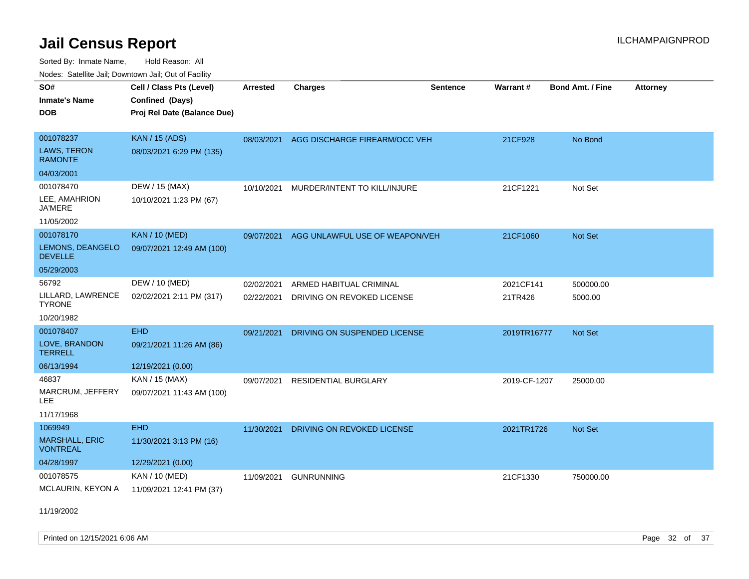Sorted By: Inmate Name, Hold Reason: All Nodes: Satellite Jail; Downtown Jail; Out of Facility

| SO#                                      | Cell / Class Pts (Level)    | <b>Arrested</b> | <b>Charges</b>                 | <b>Sentence</b> | <b>Warrant#</b> | <b>Bond Amt. / Fine</b> | <b>Attorney</b> |
|------------------------------------------|-----------------------------|-----------------|--------------------------------|-----------------|-----------------|-------------------------|-----------------|
| <b>Inmate's Name</b>                     | Confined (Days)             |                 |                                |                 |                 |                         |                 |
| <b>DOB</b>                               | Proj Rel Date (Balance Due) |                 |                                |                 |                 |                         |                 |
|                                          |                             |                 |                                |                 |                 |                         |                 |
| 001078237                                | <b>KAN / 15 (ADS)</b>       | 08/03/2021      | AGG DISCHARGE FIREARM/OCC VEH  |                 | 21CF928         | No Bond                 |                 |
| LAWS, TERON<br><b>RAMONTE</b>            | 08/03/2021 6:29 PM (135)    |                 |                                |                 |                 |                         |                 |
| 04/03/2001                               |                             |                 |                                |                 |                 |                         |                 |
| 001078470                                | DEW / 15 (MAX)              | 10/10/2021      | MURDER/INTENT TO KILL/INJURE   |                 | 21CF1221        | Not Set                 |                 |
| LEE, AMAHRION<br><b>JA'MERE</b>          | 10/10/2021 1:23 PM (67)     |                 |                                |                 |                 |                         |                 |
| 11/05/2002                               |                             |                 |                                |                 |                 |                         |                 |
| 001078170                                | <b>KAN / 10 (MED)</b>       | 09/07/2021      | AGG UNLAWFUL USE OF WEAPON/VEH |                 | 21CF1060        | Not Set                 |                 |
| LEMONS, DEANGELO<br><b>DEVELLE</b>       | 09/07/2021 12:49 AM (100)   |                 |                                |                 |                 |                         |                 |
| 05/29/2003                               |                             |                 |                                |                 |                 |                         |                 |
| 56792                                    | DEW / 10 (MED)              | 02/02/2021      | ARMED HABITUAL CRIMINAL        |                 | 2021CF141       | 500000.00               |                 |
| LILLARD, LAWRENCE<br><b>TYRONE</b>       | 02/02/2021 2:11 PM (317)    | 02/22/2021      | DRIVING ON REVOKED LICENSE     |                 | 21TR426         | 5000.00                 |                 |
| 10/20/1982                               |                             |                 |                                |                 |                 |                         |                 |
| 001078407                                | <b>EHD</b>                  | 09/21/2021      | DRIVING ON SUSPENDED LICENSE   |                 | 2019TR16777     | Not Set                 |                 |
| LOVE, BRANDON<br><b>TERRELL</b>          | 09/21/2021 11:26 AM (86)    |                 |                                |                 |                 |                         |                 |
| 06/13/1994                               | 12/19/2021 (0.00)           |                 |                                |                 |                 |                         |                 |
| 46837                                    | KAN / 15 (MAX)              | 09/07/2021      | <b>RESIDENTIAL BURGLARY</b>    |                 | 2019-CF-1207    | 25000.00                |                 |
| MARCRUM, JEFFERY<br>LEE                  | 09/07/2021 11:43 AM (100)   |                 |                                |                 |                 |                         |                 |
| 11/17/1968                               |                             |                 |                                |                 |                 |                         |                 |
| 1069949                                  | <b>EHD</b>                  | 11/30/2021      | DRIVING ON REVOKED LICENSE     |                 | 2021TR1726      | Not Set                 |                 |
| <b>MARSHALL, ERIC</b><br><b>VONTREAL</b> | 11/30/2021 3:13 PM (16)     |                 |                                |                 |                 |                         |                 |
| 04/28/1997                               | 12/29/2021 (0.00)           |                 |                                |                 |                 |                         |                 |
| 001078575                                | KAN / 10 (MED)              | 11/09/2021      | <b>GUNRUNNING</b>              |                 | 21CF1330        | 750000.00               |                 |
| MCLAURIN, KEYON A                        | 11/09/2021 12:41 PM (37)    |                 |                                |                 |                 |                         |                 |

11/19/2002

Printed on  $12/15/2021$  6:06 AM Page 32 of 37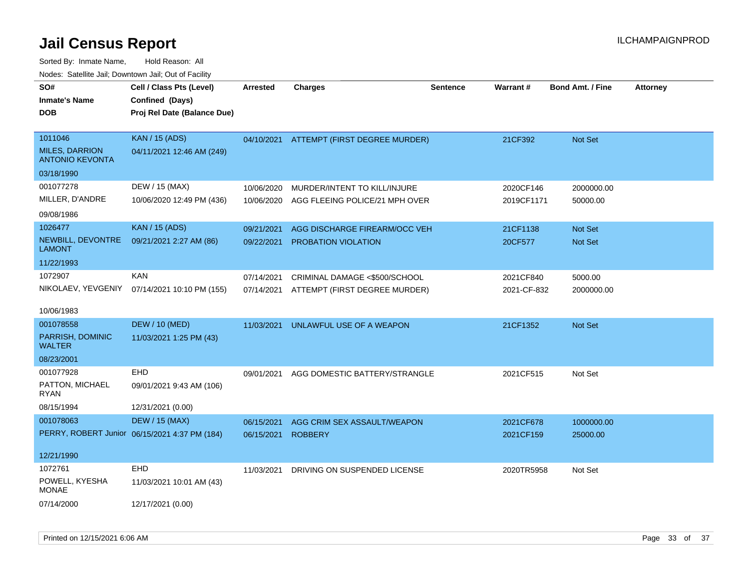| SO#<br><b>Inmate's Name</b><br><b>DOB</b>                  | Cell / Class Pts (Level)<br>Confined (Days)<br>Proj Rel Date (Balance Due) | <b>Arrested</b> | <b>Charges</b>                       | <b>Sentence</b> | <b>Warrant#</b> | <b>Bond Amt. / Fine</b> | <b>Attorney</b> |
|------------------------------------------------------------|----------------------------------------------------------------------------|-----------------|--------------------------------------|-----------------|-----------------|-------------------------|-----------------|
| 1011046<br><b>MILES, DARRION</b><br><b>ANTONIO KEVONTA</b> | <b>KAN / 15 (ADS)</b><br>04/11/2021 12:46 AM (249)                         | 04/10/2021      | <b>ATTEMPT (FIRST DEGREE MURDER)</b> |                 | 21CF392         | Not Set                 |                 |
| 03/18/1990                                                 |                                                                            |                 |                                      |                 |                 |                         |                 |
| 001077278                                                  | DEW / 15 (MAX)                                                             | 10/06/2020      | MURDER/INTENT TO KILL/INJURE         |                 | 2020CF146       | 2000000.00              |                 |
| MILLER, D'ANDRE                                            | 10/06/2020 12:49 PM (436)                                                  | 10/06/2020      | AGG FLEEING POLICE/21 MPH OVER       |                 | 2019CF1171      | 50000.00                |                 |
| 09/08/1986                                                 |                                                                            |                 |                                      |                 |                 |                         |                 |
| 1026477                                                    | <b>KAN / 15 (ADS)</b>                                                      | 09/21/2021      | AGG DISCHARGE FIREARM/OCC VEH        |                 | 21CF1138        | Not Set                 |                 |
| NEWBILL, DEVONTRE<br><b>LAMONT</b>                         | 09/21/2021 2:27 AM (86)                                                    | 09/22/2021      | PROBATION VIOLATION                  |                 | 20CF577         | Not Set                 |                 |
| 11/22/1993                                                 |                                                                            |                 |                                      |                 |                 |                         |                 |
| 1072907                                                    | <b>KAN</b>                                                                 | 07/14/2021      | CRIMINAL DAMAGE <\$500/SCHOOL        |                 | 2021CF840       | 5000.00                 |                 |
| NIKOLAEV, YEVGENIY                                         | 07/14/2021 10:10 PM (155)                                                  | 07/14/2021      | ATTEMPT (FIRST DEGREE MURDER)        |                 | 2021-CF-832     | 2000000.00              |                 |
| 10/06/1983                                                 |                                                                            |                 |                                      |                 |                 |                         |                 |
| 001078558                                                  | <b>DEW / 10 (MED)</b>                                                      | 11/03/2021      | UNLAWFUL USE OF A WEAPON             |                 | 21CF1352        | Not Set                 |                 |
| PARRISH, DOMINIC<br><b>WALTER</b>                          | 11/03/2021 1:25 PM (43)                                                    |                 |                                      |                 |                 |                         |                 |
| 08/23/2001                                                 |                                                                            |                 |                                      |                 |                 |                         |                 |
| 001077928                                                  | EHD                                                                        | 09/01/2021      | AGG DOMESTIC BATTERY/STRANGLE        |                 | 2021CF515       | Not Set                 |                 |
| PATTON, MICHAEL<br><b>RYAN</b>                             | 09/01/2021 9:43 AM (106)                                                   |                 |                                      |                 |                 |                         |                 |
| 08/15/1994                                                 | 12/31/2021 (0.00)                                                          |                 |                                      |                 |                 |                         |                 |
| 001078063                                                  | <b>DEW / 15 (MAX)</b>                                                      | 06/15/2021      | AGG CRIM SEX ASSAULT/WEAPON          |                 | 2021CF678       | 1000000.00              |                 |
|                                                            | PERRY, ROBERT Junior 06/15/2021 4:37 PM (184)                              | 06/15/2021      | <b>ROBBERY</b>                       |                 | 2021CF159       | 25000.00                |                 |
| 12/21/1990                                                 |                                                                            |                 |                                      |                 |                 |                         |                 |
| 1072761                                                    | <b>EHD</b>                                                                 | 11/03/2021      | DRIVING ON SUSPENDED LICENSE         |                 | 2020TR5958      | Not Set                 |                 |
| POWELL, KYESHA<br><b>MONAE</b>                             | 11/03/2021 10:01 AM (43)                                                   |                 |                                      |                 |                 |                         |                 |
| 07/14/2000                                                 | 12/17/2021 (0.00)                                                          |                 |                                      |                 |                 |                         |                 |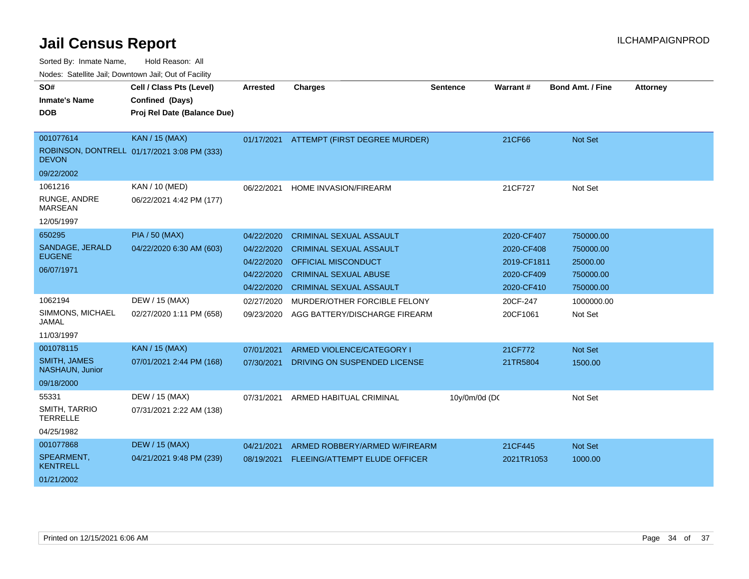| SO#                                    | Cell / Class Pts (Level)                    | <b>Arrested</b> | <b>Charges</b>                 | <b>Sentence</b> | <b>Warrant#</b> | <b>Bond Amt. / Fine</b> | <b>Attorney</b> |
|----------------------------------------|---------------------------------------------|-----------------|--------------------------------|-----------------|-----------------|-------------------------|-----------------|
| <b>Inmate's Name</b>                   | Confined (Days)                             |                 |                                |                 |                 |                         |                 |
| <b>DOB</b>                             | Proj Rel Date (Balance Due)                 |                 |                                |                 |                 |                         |                 |
|                                        |                                             |                 |                                |                 |                 |                         |                 |
| 001077614                              | <b>KAN / 15 (MAX)</b>                       | 01/17/2021      | ATTEMPT (FIRST DEGREE MURDER)  |                 | 21CF66          | <b>Not Set</b>          |                 |
| <b>DEVON</b>                           | ROBINSON, DONTRELL 01/17/2021 3:08 PM (333) |                 |                                |                 |                 |                         |                 |
| 09/22/2002                             |                                             |                 |                                |                 |                 |                         |                 |
| 1061216                                | KAN / 10 (MED)                              | 06/22/2021      | HOME INVASION/FIREARM          |                 | 21CF727         | Not Set                 |                 |
| RUNGE, ANDRE<br><b>MARSEAN</b>         | 06/22/2021 4:42 PM (177)                    |                 |                                |                 |                 |                         |                 |
| 12/05/1997                             |                                             |                 |                                |                 |                 |                         |                 |
| 650295                                 | <b>PIA / 50 (MAX)</b>                       | 04/22/2020      | <b>CRIMINAL SEXUAL ASSAULT</b> |                 | 2020-CF407      | 750000.00               |                 |
| SANDAGE, JERALD                        | 04/22/2020 6:30 AM (603)                    | 04/22/2020      | <b>CRIMINAL SEXUAL ASSAULT</b> |                 | 2020-CF408      | 750000.00               |                 |
| <b>EUGENE</b>                          |                                             | 04/22/2020      | <b>OFFICIAL MISCONDUCT</b>     |                 | 2019-CF1811     | 25000.00                |                 |
| 06/07/1971                             |                                             | 04/22/2020      | <b>CRIMINAL SEXUAL ABUSE</b>   |                 | 2020-CF409      | 750000.00               |                 |
|                                        |                                             | 04/22/2020      | <b>CRIMINAL SEXUAL ASSAULT</b> |                 | 2020-CF410      | 750000.00               |                 |
| 1062194                                | DEW / 15 (MAX)                              | 02/27/2020      | MURDER/OTHER FORCIBLE FELONY   |                 | 20CF-247        | 1000000.00              |                 |
| SIMMONS, MICHAEL<br>JAMAL              | 02/27/2020 1:11 PM (658)                    | 09/23/2020      | AGG BATTERY/DISCHARGE FIREARM  |                 | 20CF1061        | Not Set                 |                 |
| 11/03/1997                             |                                             |                 |                                |                 |                 |                         |                 |
| 001078115                              | <b>KAN / 15 (MAX)</b>                       | 07/01/2021      | ARMED VIOLENCE/CATEGORY I      |                 | 21CF772         | <b>Not Set</b>          |                 |
| <b>SMITH, JAMES</b><br>NASHAUN, Junior | 07/01/2021 2:44 PM (168)                    | 07/30/2021      | DRIVING ON SUSPENDED LICENSE   |                 | 21TR5804        | 1500.00                 |                 |
| 09/18/2000                             |                                             |                 |                                |                 |                 |                         |                 |
| 55331                                  | DEW / 15 (MAX)                              | 07/31/2021      | ARMED HABITUAL CRIMINAL        | 10y/0m/0d (DC   |                 | Not Set                 |                 |
| SMITH, TARRIO<br><b>TERRELLE</b>       | 07/31/2021 2:22 AM (138)                    |                 |                                |                 |                 |                         |                 |
| 04/25/1982                             |                                             |                 |                                |                 |                 |                         |                 |
| 001077868                              | <b>DEW / 15 (MAX)</b>                       | 04/21/2021      | ARMED ROBBERY/ARMED W/FIREARM  |                 | 21CF445         | <b>Not Set</b>          |                 |
| SPEARMENT,<br>KENTRELL                 | 04/21/2021 9:48 PM (239)                    | 08/19/2021      | FLEEING/ATTEMPT ELUDE OFFICER  |                 | 2021TR1053      | 1000.00                 |                 |
| 01/21/2002                             |                                             |                 |                                |                 |                 |                         |                 |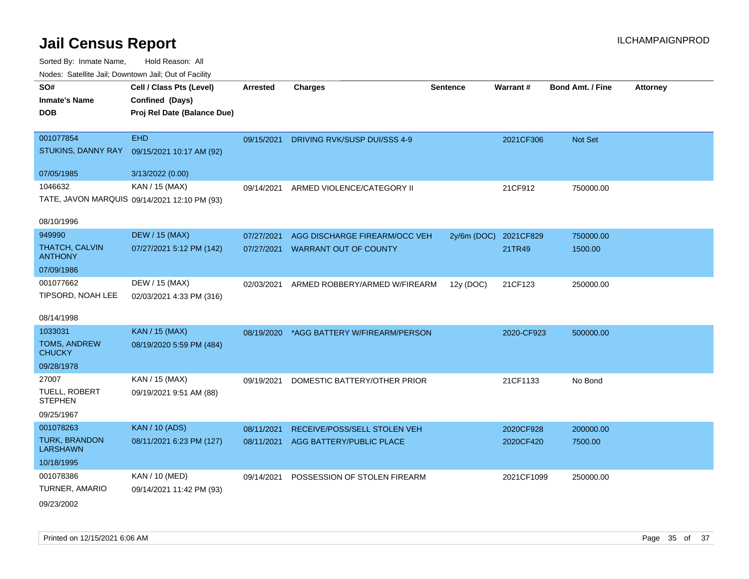| Nodes. Satellite Jail, Downtown Jail, Out of Facility |                                              |                 |                               |                 |            |                         |                 |
|-------------------------------------------------------|----------------------------------------------|-----------------|-------------------------------|-----------------|------------|-------------------------|-----------------|
| SO#                                                   | Cell / Class Pts (Level)                     | <b>Arrested</b> | <b>Charges</b>                | <b>Sentence</b> | Warrant#   | <b>Bond Amt. / Fine</b> | <b>Attorney</b> |
| <b>Inmate's Name</b>                                  | Confined (Days)                              |                 |                               |                 |            |                         |                 |
| <b>DOB</b>                                            | Proj Rel Date (Balance Due)                  |                 |                               |                 |            |                         |                 |
|                                                       |                                              |                 |                               |                 |            |                         |                 |
| 001077854                                             | <b>EHD</b>                                   | 09/15/2021      | DRIVING RVK/SUSP DUI/SSS 4-9  |                 | 2021CF306  | Not Set                 |                 |
| STUKINS, DANNY RAY                                    | 09/15/2021 10:17 AM (92)                     |                 |                               |                 |            |                         |                 |
| 07/05/1985                                            | 3/13/2022 (0.00)                             |                 |                               |                 |            |                         |                 |
| 1046632                                               | KAN / 15 (MAX)                               | 09/14/2021      | ARMED VIOLENCE/CATEGORY II    |                 | 21CF912    | 750000.00               |                 |
|                                                       | TATE, JAVON MARQUIS 09/14/2021 12:10 PM (93) |                 |                               |                 |            |                         |                 |
| 08/10/1996                                            |                                              |                 |                               |                 |            |                         |                 |
| 949990                                                | <b>DEW / 15 (MAX)</b>                        | 07/27/2021      | AGG DISCHARGE FIREARM/OCC VEH | $2y/6m$ (DOC)   | 2021CF829  | 750000.00               |                 |
| <b>THATCH, CALVIN</b><br><b>ANTHONY</b>               | 07/27/2021 5:12 PM (142)                     | 07/27/2021      | <b>WARRANT OUT OF COUNTY</b>  |                 | 21TR49     | 1500.00                 |                 |
| 07/09/1986                                            |                                              |                 |                               |                 |            |                         |                 |
| 001077662                                             | DEW / 15 (MAX)                               | 02/03/2021      | ARMED ROBBERY/ARMED W/FIREARM | 12y (DOC)       | 21CF123    | 250000.00               |                 |
| TIPSORD, NOAH LEE                                     | 02/03/2021 4:33 PM (316)                     |                 |                               |                 |            |                         |                 |
| 08/14/1998                                            |                                              |                 |                               |                 |            |                         |                 |
| 1033031                                               | <b>KAN / 15 (MAX)</b>                        | 08/19/2020      | *AGG BATTERY W/FIREARM/PERSON |                 | 2020-CF923 | 500000.00               |                 |
| TOMS, ANDREW<br><b>CHUCKY</b>                         | 08/19/2020 5:59 PM (484)                     |                 |                               |                 |            |                         |                 |
| 09/28/1978                                            |                                              |                 |                               |                 |            |                         |                 |
| 27007                                                 | KAN / 15 (MAX)                               | 09/19/2021      | DOMESTIC BATTERY/OTHER PRIOR  |                 | 21CF1133   | No Bond                 |                 |
| TUELL, ROBERT<br><b>STEPHEN</b>                       | 09/19/2021 9:51 AM (88)                      |                 |                               |                 |            |                         |                 |
| 09/25/1967                                            |                                              |                 |                               |                 |            |                         |                 |
| 001078263                                             | <b>KAN / 10 (ADS)</b>                        | 08/11/2021      | RECEIVE/POSS/SELL STOLEN VEH  |                 | 2020CF928  | 200000.00               |                 |
| <b>TURK, BRANDON</b><br><b>LARSHAWN</b>               | 08/11/2021 6:23 PM (127)                     | 08/11/2021      | AGG BATTERY/PUBLIC PLACE      |                 | 2020CF420  | 7500.00                 |                 |
| 10/18/1995                                            |                                              |                 |                               |                 |            |                         |                 |
| 001078386                                             | KAN / 10 (MED)                               | 09/14/2021      | POSSESSION OF STOLEN FIREARM  |                 | 2021CF1099 | 250000.00               |                 |
| TURNER, AMARIO                                        | 09/14/2021 11:42 PM (93)                     |                 |                               |                 |            |                         |                 |
| 09/23/2002                                            |                                              |                 |                               |                 |            |                         |                 |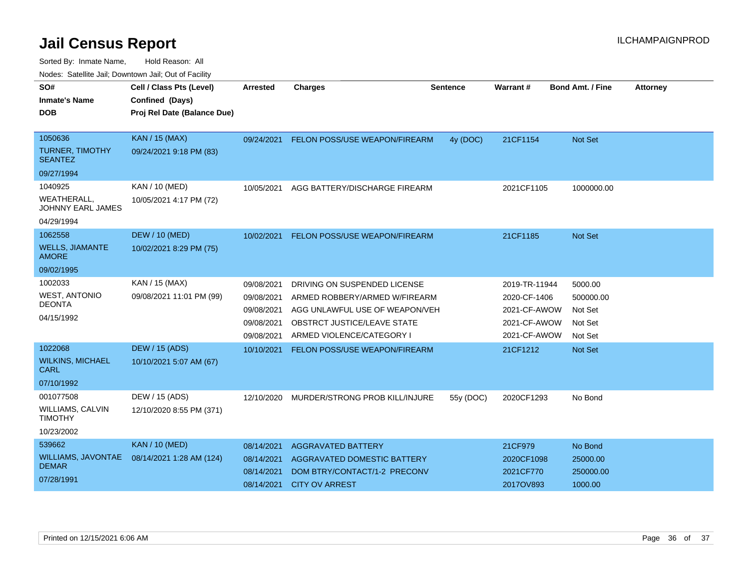| waco. Catolino can, Downtown can, Out of Faoint |                             |            |                                |                 |               |                         |                 |
|-------------------------------------------------|-----------------------------|------------|--------------------------------|-----------------|---------------|-------------------------|-----------------|
| SO#                                             | Cell / Class Pts (Level)    | Arrested   | <b>Charges</b>                 | <b>Sentence</b> | Warrant#      | <b>Bond Amt. / Fine</b> | <b>Attorney</b> |
| <b>Inmate's Name</b>                            | Confined (Days)             |            |                                |                 |               |                         |                 |
| <b>DOB</b>                                      | Proj Rel Date (Balance Due) |            |                                |                 |               |                         |                 |
|                                                 |                             |            |                                |                 |               |                         |                 |
| 1050636                                         | <b>KAN / 15 (MAX)</b>       | 09/24/2021 | FELON POSS/USE WEAPON/FIREARM  | 4y (DOC)        | 21CF1154      | <b>Not Set</b>          |                 |
| <b>TURNER, TIMOTHY</b><br><b>SEANTEZ</b>        | 09/24/2021 9:18 PM (83)     |            |                                |                 |               |                         |                 |
| 09/27/1994                                      |                             |            |                                |                 |               |                         |                 |
| 1040925                                         | KAN / 10 (MED)              | 10/05/2021 | AGG BATTERY/DISCHARGE FIREARM  |                 | 2021CF1105    | 1000000.00              |                 |
| <b>WEATHERALL,</b><br><b>JOHNNY EARL JAMES</b>  | 10/05/2021 4:17 PM (72)     |            |                                |                 |               |                         |                 |
| 04/29/1994                                      |                             |            |                                |                 |               |                         |                 |
| 1062558                                         | <b>DEW / 10 (MED)</b>       | 10/02/2021 | FELON POSS/USE WEAPON/FIREARM  |                 | 21CF1185      | <b>Not Set</b>          |                 |
| <b>WELLS, JIAMANTE</b><br><b>AMORE</b>          | 10/02/2021 8:29 PM (75)     |            |                                |                 |               |                         |                 |
| 09/02/1995                                      |                             |            |                                |                 |               |                         |                 |
| 1002033                                         | KAN / 15 (MAX)              | 09/08/2021 | DRIVING ON SUSPENDED LICENSE   |                 | 2019-TR-11944 | 5000.00                 |                 |
| <b>WEST, ANTONIO</b>                            | 09/08/2021 11:01 PM (99)    | 09/08/2021 | ARMED ROBBERY/ARMED W/FIREARM  |                 | 2020-CF-1406  | 500000.00               |                 |
| DEONTA                                          |                             | 09/08/2021 | AGG UNLAWFUL USE OF WEAPON/VEH |                 | 2021-CF-AWOW  | Not Set                 |                 |
| 04/15/1992                                      |                             | 09/08/2021 | OBSTRCT JUSTICE/LEAVE STATE    |                 | 2021-CF-AWOW  | Not Set                 |                 |
|                                                 |                             | 09/08/2021 | ARMED VIOLENCE/CATEGORY I      |                 | 2021-CF-AWOW  | Not Set                 |                 |
| 1022068                                         | <b>DEW / 15 (ADS)</b>       | 10/10/2021 | FELON POSS/USE WEAPON/FIREARM  |                 | 21CF1212      | <b>Not Set</b>          |                 |
| <b>WILKINS, MICHAEL</b><br>CARL                 | 10/10/2021 5:07 AM (67)     |            |                                |                 |               |                         |                 |
| 07/10/1992                                      |                             |            |                                |                 |               |                         |                 |
| 001077508                                       | DEW / 15 (ADS)              | 12/10/2020 | MURDER/STRONG PROB KILL/INJURE | 55y (DOC)       | 2020CF1293    | No Bond                 |                 |
| WILLIAMS, CALVIN<br><b>TIMOTHY</b>              | 12/10/2020 8:55 PM (371)    |            |                                |                 |               |                         |                 |
| 10/23/2002                                      |                             |            |                                |                 |               |                         |                 |
| 539662                                          | <b>KAN / 10 (MED)</b>       | 08/14/2021 | <b>AGGRAVATED BATTERY</b>      |                 | 21CF979       | No Bond                 |                 |
| WILLIAMS, JAVONTAE                              | 08/14/2021 1:28 AM (124)    | 08/14/2021 | AGGRAVATED DOMESTIC BATTERY    |                 | 2020CF1098    | 25000.00                |                 |
| <b>DEMAR</b>                                    |                             | 08/14/2021 | DOM BTRY/CONTACT/1-2 PRECONV   |                 | 2021CF770     | 250000.00               |                 |
| 07/28/1991                                      |                             | 08/14/2021 | <b>CITY OV ARREST</b>          |                 | 2017OV893     | 1000.00                 |                 |